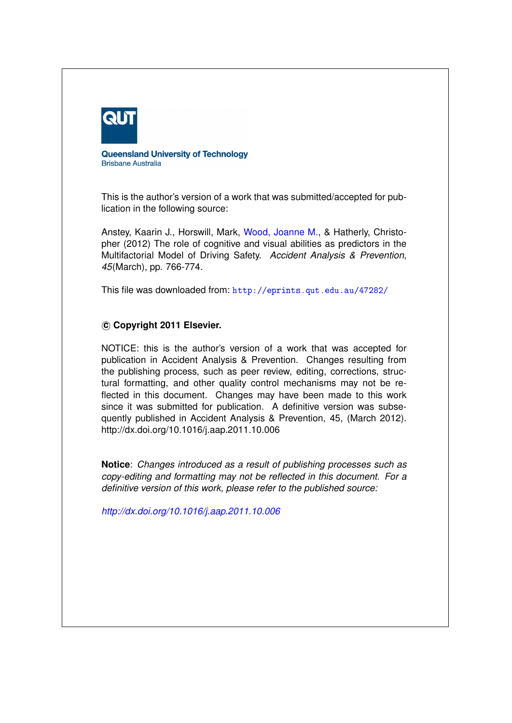

**Queensland University of Technology Brisbane Australia** 

This is the author's version of a work that was submitted/accepted for publication in the following source:

Anstey, Kaarin J., Horswill, Mark, [Wood, Joanne M.,](http://eprints.qut.edu.au/view/person/Wood,_Joanne.html) & Hatherly, Christopher (2012) The role of cognitive and visual abilities as predictors in the Multifactorial Model of Driving Safety. *Accident Analysis & Prevention*, *45*(March), pp. 766-774.

This file was downloaded from: <http://eprints.qut.edu.au/47282/>

## **c Copyright 2011 Elsevier.**

NOTICE: this is the author's version of a work that was accepted for publication in Accident Analysis & Prevention. Changes resulting from the publishing process, such as peer review, editing, corrections, structural formatting, and other quality control mechanisms may not be reflected in this document. Changes may have been made to this work since it was submitted for publication. A definitive version was subsequently published in Accident Analysis & Prevention, 45, (March 2012). http://dx.doi.org/10.1016/j.aap.2011.10.006

**Notice**: *Changes introduced as a result of publishing processes such as copy-editing and formatting may not be reflected in this document. For a definitive version of this work, please refer to the published source:*

*<http://dx.doi.org/10.1016/j.aap.2011.10.006>*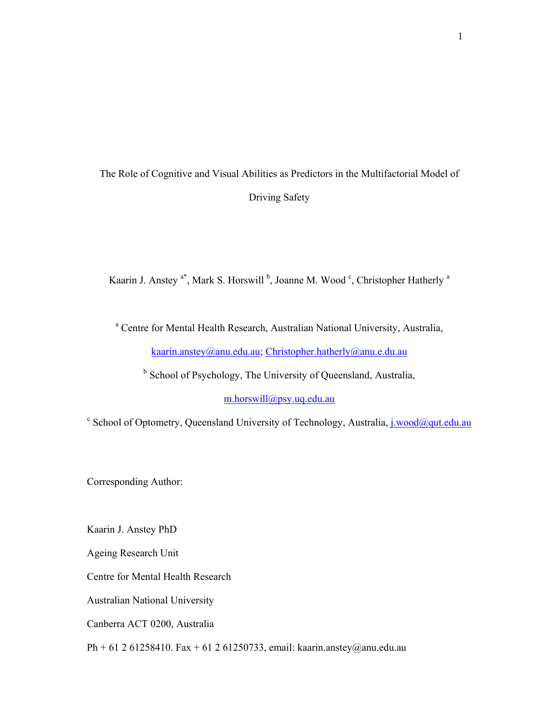# The Role of Cognitive and Visual Abilities as Predictors in the Multifactorial Model of Driving Safety

Kaarin J. Anstey <sup>a\*</sup>, Mark S. Horswill <sup>b</sup>, Joanne M. Wood <sup>c</sup>, Christopher Hatherly <sup>a</sup>

<sup>a</sup> Centre for Mental Health Research, Australian National University, Australia, kaarin.anstey@anu.edu.au; Christopher.hatherly@anu.e.du.au

<sup>b</sup> School of Psychology, The University of Queensland, Australia,

m.horswill@psy.uq.edu.au

<sup>c</sup> School of Optometry, Queensland University of Technology, Australia, *j.wood@qut.edu.au* 

Corresponding Author:

Kaarin J. Anstey PhD

Ageing Research Unit

Centre for Mental Health Research

Australian National University

Canberra ACT 0200, Australia

Ph + 61 2 61258410. Fax + 61 2 61250733, email: kaarin.anstey@anu.edu.au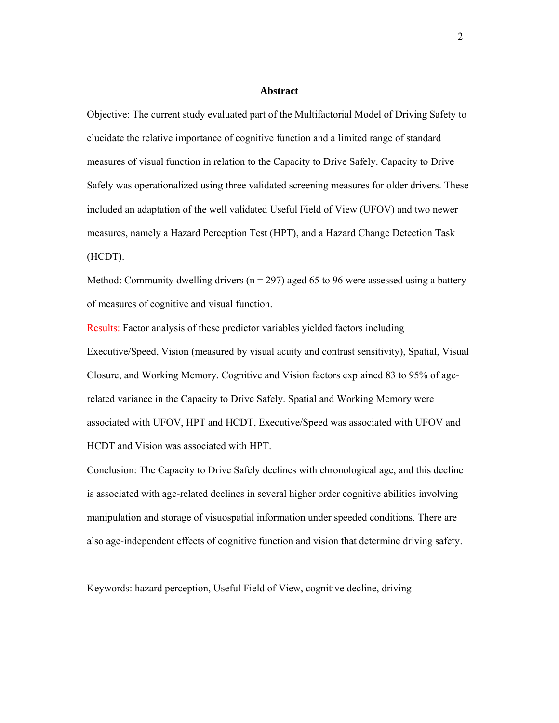#### **Abstract**

Objective: The current study evaluated part of the Multifactorial Model of Driving Safety to elucidate the relative importance of cognitive function and a limited range of standard measures of visual function in relation to the Capacity to Drive Safely. Capacity to Drive Safely was operationalized using three validated screening measures for older drivers. These included an adaptation of the well validated Useful Field of View (UFOV) and two newer measures, namely a Hazard Perception Test (HPT), and a Hazard Change Detection Task (HCDT).

Method: Community dwelling drivers ( $n = 297$ ) aged 65 to 96 were assessed using a battery of measures of cognitive and visual function.

Results: Factor analysis of these predictor variables yielded factors including Executive/Speed, Vision (measured by visual acuity and contrast sensitivity), Spatial, Visual Closure, and Working Memory. Cognitive and Vision factors explained 83 to 95% of agerelated variance in the Capacity to Drive Safely. Spatial and Working Memory were associated with UFOV, HPT and HCDT, Executive/Speed was associated with UFOV and HCDT and Vision was associated with HPT.

Conclusion: The Capacity to Drive Safely declines with chronological age, and this decline is associated with age-related declines in several higher order cognitive abilities involving manipulation and storage of visuospatial information under speeded conditions. There are also age-independent effects of cognitive function and vision that determine driving safety.

Keywords: hazard perception, Useful Field of View, cognitive decline, driving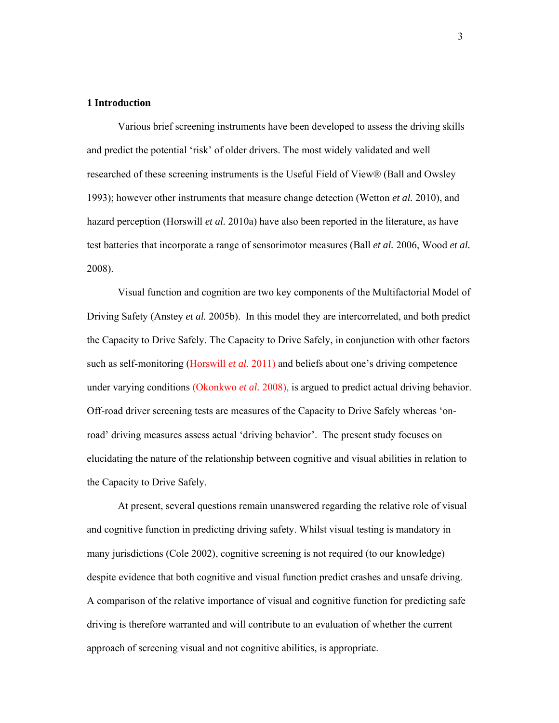## **1 Introduction**

Various brief screening instruments have been developed to assess the driving skills and predict the potential 'risk' of older drivers. The most widely validated and well researched of these screening instruments is the Useful Field of View® (Ball and Owsley 1993); however other instruments that measure change detection (Wetton *et al.* 2010), and hazard perception (Horswill *et al.* 2010a) have also been reported in the literature, as have test batteries that incorporate a range of sensorimotor measures (Ball *et al.* 2006, Wood *et al.* 2008).

Visual function and cognition are two key components of the Multifactorial Model of Driving Safety (Anstey *et al.* 2005b). In this model they are intercorrelated, and both predict the Capacity to Drive Safely. The Capacity to Drive Safely, in conjunction with other factors such as self-monitoring (Horswill *et al.* 2011) and beliefs about one's driving competence under varying conditions (Okonkwo *et al.* 2008), is argued to predict actual driving behavior. Off-road driver screening tests are measures of the Capacity to Drive Safely whereas 'onroad' driving measures assess actual 'driving behavior'. The present study focuses on elucidating the nature of the relationship between cognitive and visual abilities in relation to the Capacity to Drive Safely.

At present, several questions remain unanswered regarding the relative role of visual and cognitive function in predicting driving safety. Whilst visual testing is mandatory in many jurisdictions (Cole 2002), cognitive screening is not required (to our knowledge) despite evidence that both cognitive and visual function predict crashes and unsafe driving. A comparison of the relative importance of visual and cognitive function for predicting safe driving is therefore warranted and will contribute to an evaluation of whether the current approach of screening visual and not cognitive abilities, is appropriate.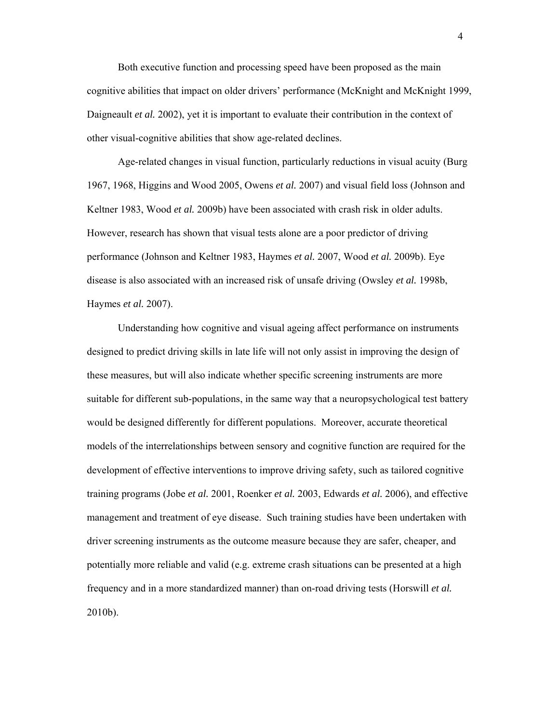Both executive function and processing speed have been proposed as the main cognitive abilities that impact on older drivers' performance (McKnight and McKnight 1999, Daigneault *et al.* 2002), yet it is important to evaluate their contribution in the context of other visual-cognitive abilities that show age-related declines.

Age-related changes in visual function, particularly reductions in visual acuity (Burg 1967, 1968, Higgins and Wood 2005, Owens *et al.* 2007) and visual field loss (Johnson and Keltner 1983, Wood *et al.* 2009b) have been associated with crash risk in older adults. However, research has shown that visual tests alone are a poor predictor of driving performance (Johnson and Keltner 1983, Haymes *et al.* 2007, Wood *et al.* 2009b). Eye disease is also associated with an increased risk of unsafe driving (Owsley *et al.* 1998b, Haymes *et al.* 2007).

Understanding how cognitive and visual ageing affect performance on instruments designed to predict driving skills in late life will not only assist in improving the design of these measures, but will also indicate whether specific screening instruments are more suitable for different sub-populations, in the same way that a neuropsychological test battery would be designed differently for different populations. Moreover, accurate theoretical models of the interrelationships between sensory and cognitive function are required for the development of effective interventions to improve driving safety, such as tailored cognitive training programs (Jobe *et al.* 2001, Roenker *et al.* 2003, Edwards *et al.* 2006), and effective management and treatment of eye disease. Such training studies have been undertaken with driver screening instruments as the outcome measure because they are safer, cheaper, and potentially more reliable and valid (e.g. extreme crash situations can be presented at a high frequency and in a more standardized manner) than on-road driving tests (Horswill *et al.* 2010b).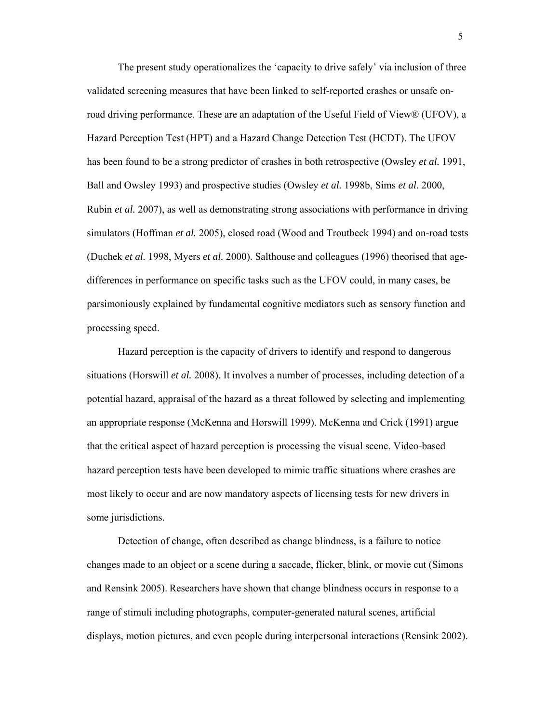The present study operationalizes the 'capacity to drive safely' via inclusion of three validated screening measures that have been linked to self-reported crashes or unsafe onroad driving performance. These are an adaptation of the Useful Field of View® (UFOV), a Hazard Perception Test (HPT) and a Hazard Change Detection Test (HCDT). The UFOV has been found to be a strong predictor of crashes in both retrospective (Owsley *et al.* 1991, Ball and Owsley 1993) and prospective studies (Owsley *et al.* 1998b, Sims *et al.* 2000, Rubin *et al.* 2007), as well as demonstrating strong associations with performance in driving simulators (Hoffman *et al.* 2005), closed road (Wood and Troutbeck 1994) and on-road tests (Duchek *et al.* 1998, Myers *et al.* 2000). Salthouse and colleagues (1996) theorised that agedifferences in performance on specific tasks such as the UFOV could, in many cases, be parsimoniously explained by fundamental cognitive mediators such as sensory function and processing speed.

Hazard perception is the capacity of drivers to identify and respond to dangerous situations (Horswill *et al.* 2008). It involves a number of processes, including detection of a potential hazard, appraisal of the hazard as a threat followed by selecting and implementing an appropriate response (McKenna and Horswill 1999). McKenna and Crick (1991) argue that the critical aspect of hazard perception is processing the visual scene. Video-based hazard perception tests have been developed to mimic traffic situations where crashes are most likely to occur and are now mandatory aspects of licensing tests for new drivers in some jurisdictions.

Detection of change, often described as change blindness, is a failure to notice changes made to an object or a scene during a saccade, flicker, blink, or movie cut (Simons and Rensink 2005). Researchers have shown that change blindness occurs in response to a range of stimuli including photographs, computer-generated natural scenes, artificial displays, motion pictures, and even people during interpersonal interactions (Rensink 2002).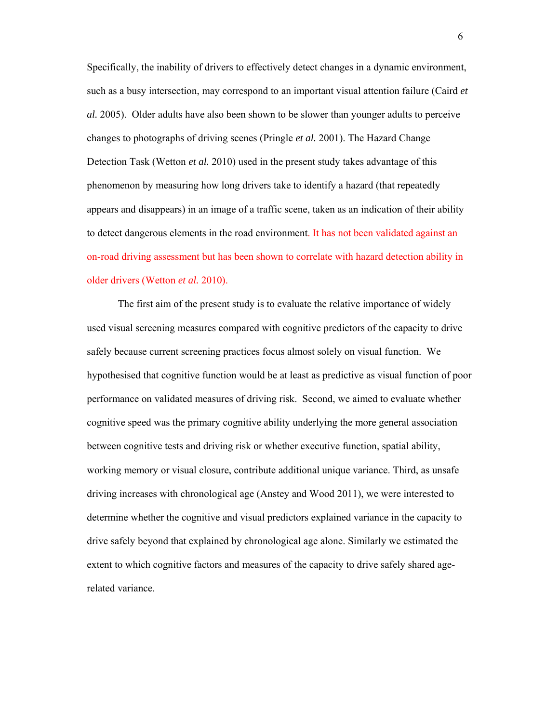Specifically, the inability of drivers to effectively detect changes in a dynamic environment, such as a busy intersection, may correspond to an important visual attention failure (Caird *et al.* 2005). Older adults have also been shown to be slower than younger adults to perceive changes to photographs of driving scenes (Pringle *et al.* 2001). The Hazard Change Detection Task (Wetton *et al.* 2010) used in the present study takes advantage of this phenomenon by measuring how long drivers take to identify a hazard (that repeatedly appears and disappears) in an image of a traffic scene, taken as an indication of their ability to detect dangerous elements in the road environment. It has not been validated against an on-road driving assessment but has been shown to correlate with hazard detection ability in older drivers (Wetton *et al.* 2010).

The first aim of the present study is to evaluate the relative importance of widely used visual screening measures compared with cognitive predictors of the capacity to drive safely because current screening practices focus almost solely on visual function. We hypothesised that cognitive function would be at least as predictive as visual function of poor performance on validated measures of driving risk. Second, we aimed to evaluate whether cognitive speed was the primary cognitive ability underlying the more general association between cognitive tests and driving risk or whether executive function, spatial ability, working memory or visual closure, contribute additional unique variance. Third, as unsafe driving increases with chronological age (Anstey and Wood 2011), we were interested to determine whether the cognitive and visual predictors explained variance in the capacity to drive safely beyond that explained by chronological age alone. Similarly we estimated the extent to which cognitive factors and measures of the capacity to drive safely shared agerelated variance.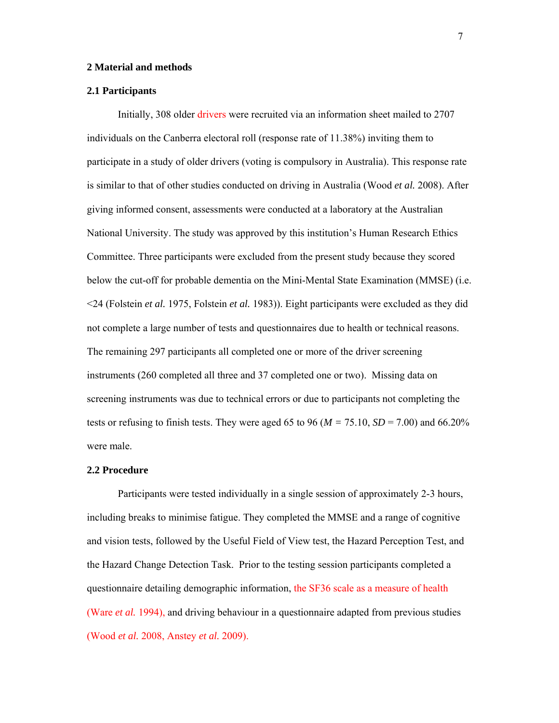### **2 Material and methods**

### **2.1 Participants**

Initially, 308 older drivers were recruited via an information sheet mailed to 2707 individuals on the Canberra electoral roll (response rate of 11.38%) inviting them to participate in a study of older drivers (voting is compulsory in Australia). This response rate is similar to that of other studies conducted on driving in Australia (Wood *et al.* 2008). After giving informed consent, assessments were conducted at a laboratory at the Australian National University. The study was approved by this institution's Human Research Ethics Committee. Three participants were excluded from the present study because they scored below the cut-off for probable dementia on the Mini-Mental State Examination (MMSE) (i.e. <24 (Folstein *et al.* 1975, Folstein *et al.* 1983)). Eight participants were excluded as they did not complete a large number of tests and questionnaires due to health or technical reasons. The remaining 297 participants all completed one or more of the driver screening instruments (260 completed all three and 37 completed one or two). Missing data on screening instruments was due to technical errors or due to participants not completing the tests or refusing to finish tests. They were aged 65 to 96 ( $M = 75.10$ ,  $SD = 7.00$ ) and 66.20% were male.

### **2.2 Procedure**

Participants were tested individually in a single session of approximately 2-3 hours, including breaks to minimise fatigue. They completed the MMSE and a range of cognitive and vision tests, followed by the Useful Field of View test, the Hazard Perception Test, and the Hazard Change Detection Task. Prior to the testing session participants completed a questionnaire detailing demographic information, the SF36 scale as a measure of health (Ware *et al.* 1994), and driving behaviour in a questionnaire adapted from previous studies (Wood *et al.* 2008, Anstey *et al.* 2009).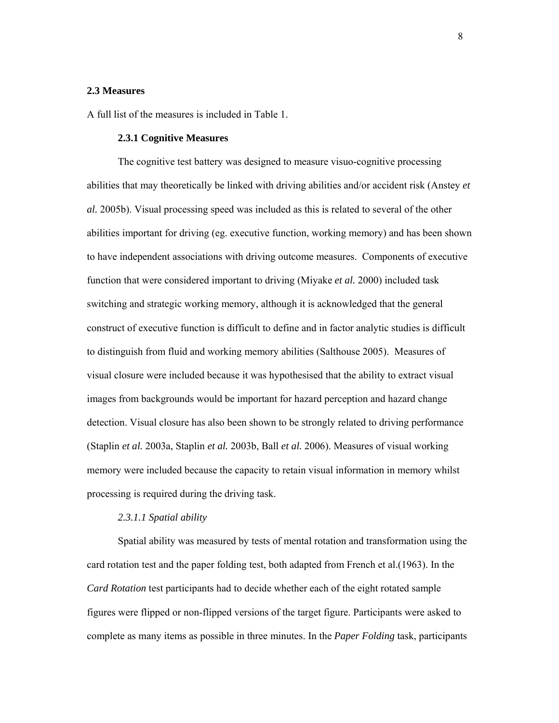### **2.3 Measures**

A full list of the measures is included in Table 1.

### **2.3.1 Cognitive Measures**

The cognitive test battery was designed to measure visuo-cognitive processing abilities that may theoretically be linked with driving abilities and/or accident risk (Anstey *et al.* 2005b). Visual processing speed was included as this is related to several of the other abilities important for driving (eg. executive function, working memory) and has been shown to have independent associations with driving outcome measures. Components of executive function that were considered important to driving (Miyake *et al.* 2000) included task switching and strategic working memory, although it is acknowledged that the general construct of executive function is difficult to define and in factor analytic studies is difficult to distinguish from fluid and working memory abilities (Salthouse 2005). Measures of visual closure were included because it was hypothesised that the ability to extract visual images from backgrounds would be important for hazard perception and hazard change detection. Visual closure has also been shown to be strongly related to driving performance (Staplin *et al.* 2003a, Staplin *et al.* 2003b, Ball *et al.* 2006). Measures of visual working memory were included because the capacity to retain visual information in memory whilst processing is required during the driving task.

#### *2.3.1.1 Spatial ability*

Spatial ability was measured by tests of mental rotation and transformation using the card rotation test and the paper folding test, both adapted from French et al.(1963). In the *Card Rotation* test participants had to decide whether each of the eight rotated sample figures were flipped or non-flipped versions of the target figure. Participants were asked to complete as many items as possible in three minutes. In the *Paper Folding* task, participants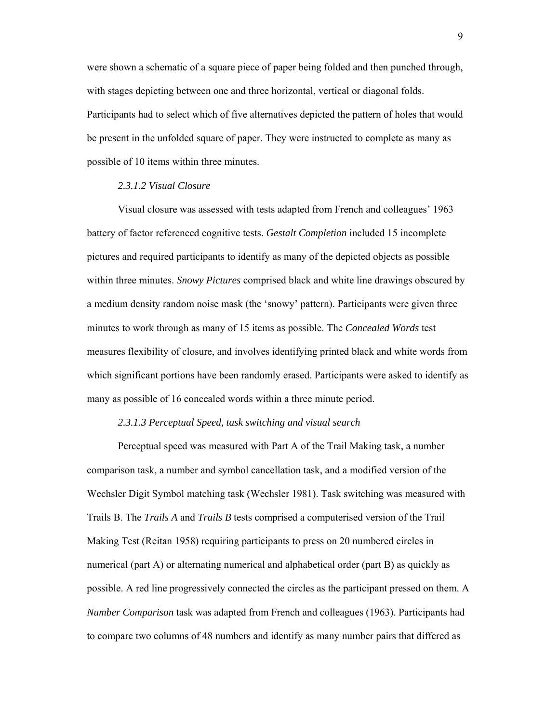were shown a schematic of a square piece of paper being folded and then punched through, with stages depicting between one and three horizontal, vertical or diagonal folds. Participants had to select which of five alternatives depicted the pattern of holes that would be present in the unfolded square of paper. They were instructed to complete as many as possible of 10 items within three minutes.

## *2.3.1.2 Visual Closure*

Visual closure was assessed with tests adapted from French and colleagues' 1963 battery of factor referenced cognitive tests. *Gestalt Completion* included 15 incomplete pictures and required participants to identify as many of the depicted objects as possible within three minutes. *Snowy Pictures* comprised black and white line drawings obscured by a medium density random noise mask (the 'snowy' pattern). Participants were given three minutes to work through as many of 15 items as possible. The *Concealed Words* test measures flexibility of closure, and involves identifying printed black and white words from which significant portions have been randomly erased. Participants were asked to identify as many as possible of 16 concealed words within a three minute period.

### *2.3.1.3 Perceptual Speed, task switching and visual search*

Perceptual speed was measured with Part A of the Trail Making task, a number comparison task, a number and symbol cancellation task, and a modified version of the Wechsler Digit Symbol matching task (Wechsler 1981). Task switching was measured with Trails B. The *Trails A* and *Trails B* tests comprised a computerised version of the Trail Making Test (Reitan 1958) requiring participants to press on 20 numbered circles in numerical (part A) or alternating numerical and alphabetical order (part B) as quickly as possible. A red line progressively connected the circles as the participant pressed on them. A *Number Comparison* task was adapted from French and colleagues (1963). Participants had to compare two columns of 48 numbers and identify as many number pairs that differed as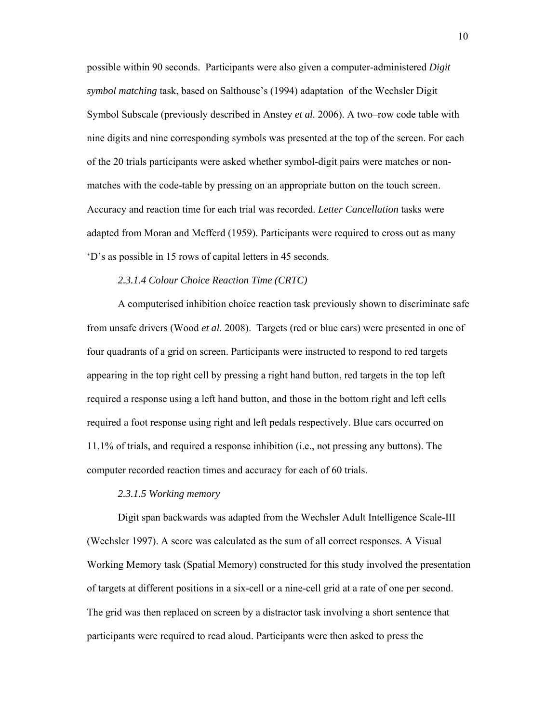possible within 90 seconds. Participants were also given a computer-administered *Digit symbol matching* task, based on Salthouse's (1994) adaptation of the Wechsler Digit Symbol Subscale (previously described in Anstey *et al.* 2006). A two–row code table with nine digits and nine corresponding symbols was presented at the top of the screen. For each of the 20 trials participants were asked whether symbol-digit pairs were matches or nonmatches with the code-table by pressing on an appropriate button on the touch screen. Accuracy and reaction time for each trial was recorded. *Letter Cancellation* tasks were adapted from Moran and Mefferd (1959). Participants were required to cross out as many 'D's as possible in 15 rows of capital letters in 45 seconds.

## *2.3.1.4 Colour Choice Reaction Time (CRTC)*

A computerised inhibition choice reaction task previously shown to discriminate safe from unsafe drivers (Wood *et al.* 2008). Targets (red or blue cars) were presented in one of four quadrants of a grid on screen. Participants were instructed to respond to red targets appearing in the top right cell by pressing a right hand button, red targets in the top left required a response using a left hand button, and those in the bottom right and left cells required a foot response using right and left pedals respectively. Blue cars occurred on 11.1% of trials, and required a response inhibition (i.e., not pressing any buttons). The computer recorded reaction times and accuracy for each of 60 trials.

#### *2.3.1.5 Working memory*

Digit span backwards was adapted from the Wechsler Adult Intelligence Scale-III (Wechsler 1997). A score was calculated as the sum of all correct responses. A Visual Working Memory task (Spatial Memory) constructed for this study involved the presentation of targets at different positions in a six-cell or a nine-cell grid at a rate of one per second. The grid was then replaced on screen by a distractor task involving a short sentence that participants were required to read aloud. Participants were then asked to press the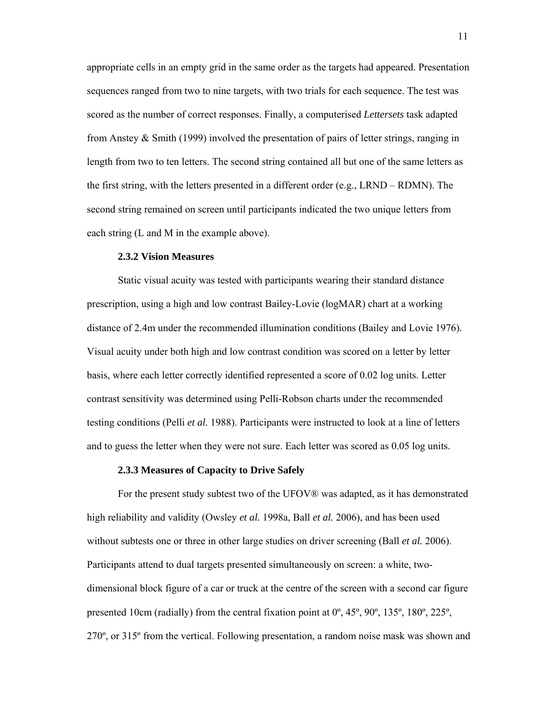appropriate cells in an empty grid in the same order as the targets had appeared. Presentation sequences ranged from two to nine targets, with two trials for each sequence. The test was scored as the number of correct responses. Finally, a computerised *Lettersets* task adapted from Anstey & Smith (1999) involved the presentation of pairs of letter strings, ranging in length from two to ten letters. The second string contained all but one of the same letters as the first string, with the letters presented in a different order (e.g., LRND – RDMN). The second string remained on screen until participants indicated the two unique letters from each string (L and M in the example above).

## **2.3.2 Vision Measures**

Static visual acuity was tested with participants wearing their standard distance prescription, using a high and low contrast Bailey-Lovie (logMAR) chart at a working distance of 2.4m under the recommended illumination conditions (Bailey and Lovie 1976). Visual acuity under both high and low contrast condition was scored on a letter by letter basis, where each letter correctly identified represented a score of 0.02 log units. Letter contrast sensitivity was determined using Pelli-Robson charts under the recommended testing conditions (Pelli *et al.* 1988). Participants were instructed to look at a line of letters and to guess the letter when they were not sure. Each letter was scored as 0.05 log units.

#### **2.3.3 Measures of Capacity to Drive Safely**

For the present study subtest two of the UFOV® was adapted, as it has demonstrated high reliability and validity (Owsley *et al.* 1998a, Ball *et al.* 2006), and has been used without subtests one or three in other large studies on driver screening (Ball *et al.* 2006). Participants attend to dual targets presented simultaneously on screen: a white, twodimensional block figure of a car or truck at the centre of the screen with a second car figure presented 10cm (radially) from the central fixation point at 0º, 45º, 90º, 135º, 180º, 225º, 270º, or 315º from the vertical. Following presentation, a random noise mask was shown and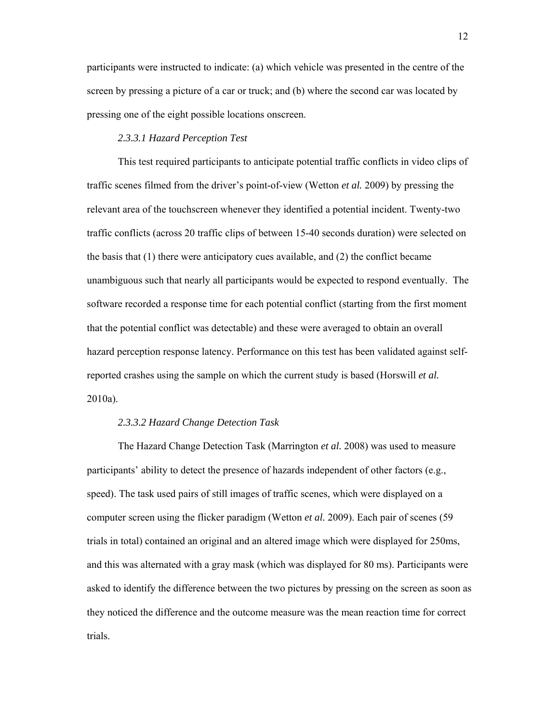participants were instructed to indicate: (a) which vehicle was presented in the centre of the screen by pressing a picture of a car or truck; and (b) where the second car was located by pressing one of the eight possible locations onscreen.

## *2.3.3.1 Hazard Perception Test*

This test required participants to anticipate potential traffic conflicts in video clips of traffic scenes filmed from the driver's point-of-view (Wetton *et al.* 2009) by pressing the relevant area of the touchscreen whenever they identified a potential incident. Twenty-two traffic conflicts (across 20 traffic clips of between 15-40 seconds duration) were selected on the basis that  $(1)$  there were anticipatory cues available, and  $(2)$  the conflict became unambiguous such that nearly all participants would be expected to respond eventually. The software recorded a response time for each potential conflict (starting from the first moment that the potential conflict was detectable) and these were averaged to obtain an overall hazard perception response latency. Performance on this test has been validated against selfreported crashes using the sample on which the current study is based (Horswill *et al.* 2010a).

## *2.3.3.2 Hazard Change Detection Task*

The Hazard Change Detection Task (Marrington *et al.* 2008) was used to measure participants' ability to detect the presence of hazards independent of other factors (e.g., speed). The task used pairs of still images of traffic scenes, which were displayed on a computer screen using the flicker paradigm (Wetton *et al.* 2009). Each pair of scenes (59 trials in total) contained an original and an altered image which were displayed for 250ms, and this was alternated with a gray mask (which was displayed for 80 ms). Participants were asked to identify the difference between the two pictures by pressing on the screen as soon as they noticed the difference and the outcome measure was the mean reaction time for correct trials.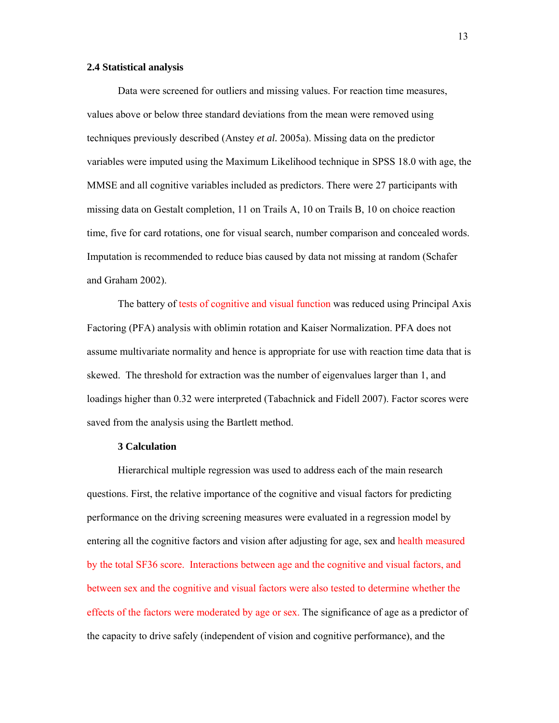### **2.4 Statistical analysis**

Data were screened for outliers and missing values. For reaction time measures, values above or below three standard deviations from the mean were removed using techniques previously described (Anstey *et al.* 2005a). Missing data on the predictor variables were imputed using the Maximum Likelihood technique in SPSS 18.0 with age, the MMSE and all cognitive variables included as predictors. There were 27 participants with missing data on Gestalt completion, 11 on Trails A, 10 on Trails B, 10 on choice reaction time, five for card rotations, one for visual search, number comparison and concealed words. Imputation is recommended to reduce bias caused by data not missing at random (Schafer and Graham 2002).

The battery of tests of cognitive and visual function was reduced using Principal Axis Factoring (PFA) analysis with oblimin rotation and Kaiser Normalization. PFA does not assume multivariate normality and hence is appropriate for use with reaction time data that is skewed. The threshold for extraction was the number of eigenvalues larger than 1, and loadings higher than 0.32 were interpreted (Tabachnick and Fidell 2007). Factor scores were saved from the analysis using the Bartlett method.

## **3 Calculation**

Hierarchical multiple regression was used to address each of the main research questions. First, the relative importance of the cognitive and visual factors for predicting performance on the driving screening measures were evaluated in a regression model by entering all the cognitive factors and vision after adjusting for age, sex and health measured by the total SF36 score. Interactions between age and the cognitive and visual factors, and between sex and the cognitive and visual factors were also tested to determine whether the effects of the factors were moderated by age or sex. The significance of age as a predictor of the capacity to drive safely (independent of vision and cognitive performance), and the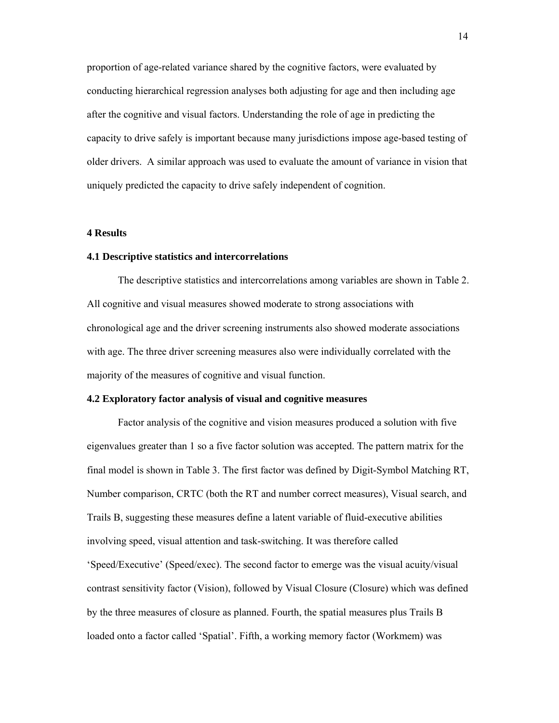proportion of age-related variance shared by the cognitive factors, were evaluated by conducting hierarchical regression analyses both adjusting for age and then including age after the cognitive and visual factors. Understanding the role of age in predicting the capacity to drive safely is important because many jurisdictions impose age-based testing of older drivers. A similar approach was used to evaluate the amount of variance in vision that uniquely predicted the capacity to drive safely independent of cognition.

## **4 Results**

## **4.1 Descriptive statistics and intercorrelations**

The descriptive statistics and intercorrelations among variables are shown in Table 2. All cognitive and visual measures showed moderate to strong associations with chronological age and the driver screening instruments also showed moderate associations with age. The three driver screening measures also were individually correlated with the majority of the measures of cognitive and visual function.

## **4.2 Exploratory factor analysis of visual and cognitive measures**

Factor analysis of the cognitive and vision measures produced a solution with five eigenvalues greater than 1 so a five factor solution was accepted. The pattern matrix for the final model is shown in Table 3. The first factor was defined by Digit-Symbol Matching RT, Number comparison, CRTC (both the RT and number correct measures), Visual search, and Trails B, suggesting these measures define a latent variable of fluid-executive abilities involving speed, visual attention and task-switching. It was therefore called 'Speed/Executive' (Speed/exec). The second factor to emerge was the visual acuity/visual contrast sensitivity factor (Vision), followed by Visual Closure (Closure) which was defined by the three measures of closure as planned. Fourth, the spatial measures plus Trails B loaded onto a factor called 'Spatial'. Fifth, a working memory factor (Workmem) was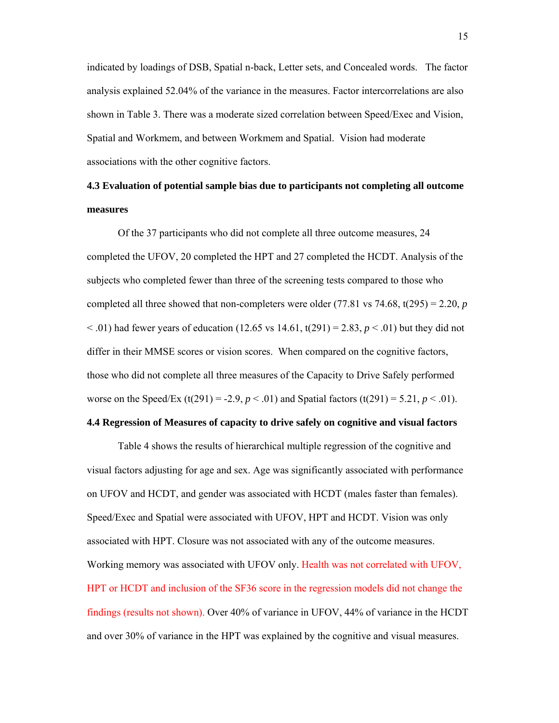indicated by loadings of DSB, Spatial n-back, Letter sets, and Concealed words. The factor analysis explained 52.04% of the variance in the measures. Factor intercorrelations are also shown in Table 3. There was a moderate sized correlation between Speed/Exec and Vision, Spatial and Workmem, and between Workmem and Spatial. Vision had moderate associations with the other cognitive factors.

# **4.3 Evaluation of potential sample bias due to participants not completing all outcome measures**

Of the 37 participants who did not complete all three outcome measures, 24 completed the UFOV, 20 completed the HPT and 27 completed the HCDT. Analysis of the subjects who completed fewer than three of the screening tests compared to those who completed all three showed that non-completers were older  $(77.81 \text{ vs } 74.68, t(295) = 2.20, p$  $(12.65 \text{ vs } 14.61, t(291) = 2.83, p < .01)$  but they did not differ in their MMSE scores or vision scores. When compared on the cognitive factors, those who did not complete all three measures of the Capacity to Drive Safely performed worse on the Speed/Ex  $(t(291) = -2.9, p < .01)$  and Spatial factors  $(t(291) = 5.21, p < .01)$ .

## **4.4 Regression of Measures of capacity to drive safely on cognitive and visual factors**

Table 4 shows the results of hierarchical multiple regression of the cognitive and visual factors adjusting for age and sex. Age was significantly associated with performance on UFOV and HCDT, and gender was associated with HCDT (males faster than females). Speed/Exec and Spatial were associated with UFOV, HPT and HCDT. Vision was only associated with HPT. Closure was not associated with any of the outcome measures. Working memory was associated with UFOV only. Health was not correlated with UFOV, HPT or HCDT and inclusion of the SF36 score in the regression models did not change the findings (results not shown). Over 40% of variance in UFOV, 44% of variance in the HCDT and over 30% of variance in the HPT was explained by the cognitive and visual measures.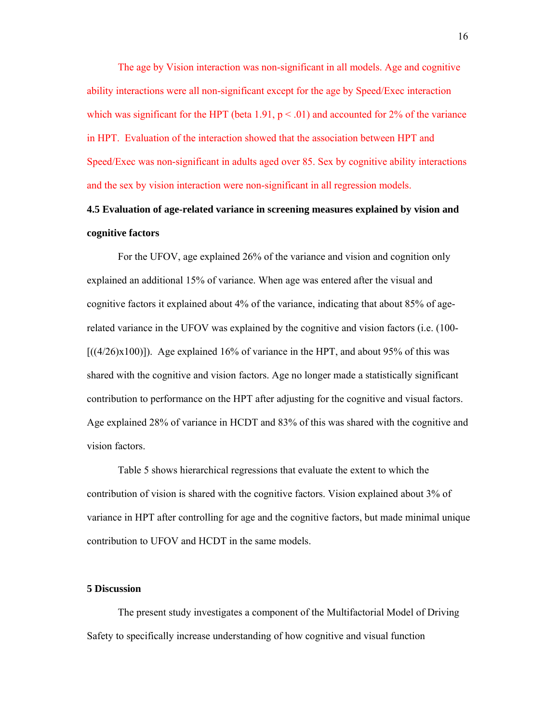The age by Vision interaction was non-significant in all models. Age and cognitive ability interactions were all non-significant except for the age by Speed/Exec interaction which was significant for the HPT (beta 1.91,  $p < .01$ ) and accounted for 2% of the variance in HPT. Evaluation of the interaction showed that the association between HPT and Speed/Exec was non-significant in adults aged over 85. Sex by cognitive ability interactions and the sex by vision interaction were non-significant in all regression models.

# **4.5 Evaluation of age-related variance in screening measures explained by vision and cognitive factors**

For the UFOV, age explained 26% of the variance and vision and cognition only explained an additional 15% of variance. When age was entered after the visual and cognitive factors it explained about 4% of the variance, indicating that about 85% of agerelated variance in the UFOV was explained by the cognitive and vision factors (i.e. (100-  $[(\frac{4}{26}) \times 100]$ . Age explained 16% of variance in the HPT, and about 95% of this was shared with the cognitive and vision factors. Age no longer made a statistically significant contribution to performance on the HPT after adjusting for the cognitive and visual factors. Age explained 28% of variance in HCDT and 83% of this was shared with the cognitive and vision factors.

 Table 5 shows hierarchical regressions that evaluate the extent to which the contribution of vision is shared with the cognitive factors. Vision explained about 3% of variance in HPT after controlling for age and the cognitive factors, but made minimal unique contribution to UFOV and HCDT in the same models.

#### **5 Discussion**

The present study investigates a component of the Multifactorial Model of Driving Safety to specifically increase understanding of how cognitive and visual function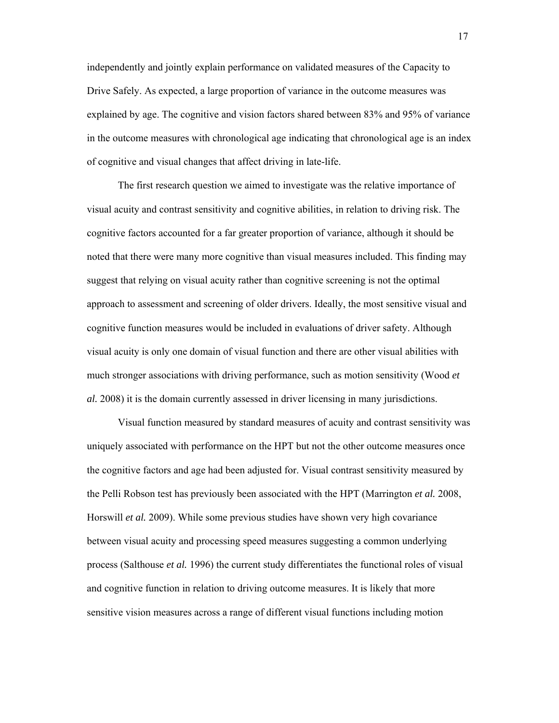independently and jointly explain performance on validated measures of the Capacity to Drive Safely. As expected, a large proportion of variance in the outcome measures was explained by age. The cognitive and vision factors shared between 83% and 95% of variance in the outcome measures with chronological age indicating that chronological age is an index of cognitive and visual changes that affect driving in late-life.

The first research question we aimed to investigate was the relative importance of visual acuity and contrast sensitivity and cognitive abilities, in relation to driving risk. The cognitive factors accounted for a far greater proportion of variance, although it should be noted that there were many more cognitive than visual measures included. This finding may suggest that relying on visual acuity rather than cognitive screening is not the optimal approach to assessment and screening of older drivers. Ideally, the most sensitive visual and cognitive function measures would be included in evaluations of driver safety. Although visual acuity is only one domain of visual function and there are other visual abilities with much stronger associations with driving performance, such as motion sensitivity (Wood *et al.* 2008) it is the domain currently assessed in driver licensing in many jurisdictions.

Visual function measured by standard measures of acuity and contrast sensitivity was uniquely associated with performance on the HPT but not the other outcome measures once the cognitive factors and age had been adjusted for. Visual contrast sensitivity measured by the Pelli Robson test has previously been associated with the HPT (Marrington *et al.* 2008, Horswill *et al.* 2009). While some previous studies have shown very high covariance between visual acuity and processing speed measures suggesting a common underlying process (Salthouse *et al.* 1996) the current study differentiates the functional roles of visual and cognitive function in relation to driving outcome measures. It is likely that more sensitive vision measures across a range of different visual functions including motion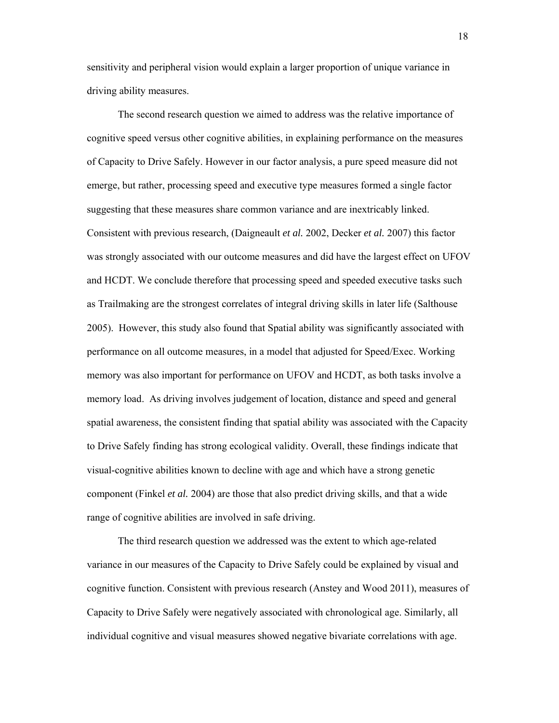sensitivity and peripheral vision would explain a larger proportion of unique variance in driving ability measures.

The second research question we aimed to address was the relative importance of cognitive speed versus other cognitive abilities, in explaining performance on the measures of Capacity to Drive Safely. However in our factor analysis, a pure speed measure did not emerge, but rather, processing speed and executive type measures formed a single factor suggesting that these measures share common variance and are inextricably linked. Consistent with previous research, (Daigneault *et al.* 2002, Decker *et al.* 2007) this factor was strongly associated with our outcome measures and did have the largest effect on UFOV and HCDT. We conclude therefore that processing speed and speeded executive tasks such as Trailmaking are the strongest correlates of integral driving skills in later life (Salthouse 2005). However, this study also found that Spatial ability was significantly associated with performance on all outcome measures, in a model that adjusted for Speed/Exec. Working memory was also important for performance on UFOV and HCDT, as both tasks involve a memory load. As driving involves judgement of location, distance and speed and general spatial awareness, the consistent finding that spatial ability was associated with the Capacity to Drive Safely finding has strong ecological validity. Overall, these findings indicate that visual-cognitive abilities known to decline with age and which have a strong genetic component (Finkel *et al.* 2004) are those that also predict driving skills, and that a wide range of cognitive abilities are involved in safe driving.

The third research question we addressed was the extent to which age-related variance in our measures of the Capacity to Drive Safely could be explained by visual and cognitive function. Consistent with previous research (Anstey and Wood 2011), measures of Capacity to Drive Safely were negatively associated with chronological age. Similarly, all individual cognitive and visual measures showed negative bivariate correlations with age.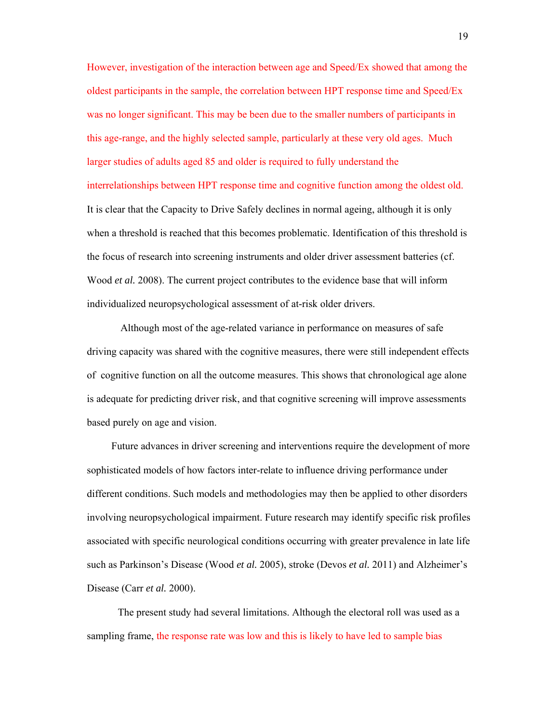However, investigation of the interaction between age and Speed/Ex showed that among the oldest participants in the sample, the correlation between HPT response time and Speed/Ex was no longer significant. This may be been due to the smaller numbers of participants in this age-range, and the highly selected sample, particularly at these very old ages. Much larger studies of adults aged 85 and older is required to fully understand the interrelationships between HPT response time and cognitive function among the oldest old. It is clear that the Capacity to Drive Safely declines in normal ageing, although it is only when a threshold is reached that this becomes problematic. Identification of this threshold is the focus of research into screening instruments and older driver assessment batteries (cf. Wood *et al.* 2008). The current project contributes to the evidence base that will inform individualized neuropsychological assessment of at-risk older drivers.

 Although most of the age-related variance in performance on measures of safe driving capacity was shared with the cognitive measures, there were still independent effects of cognitive function on all the outcome measures. This shows that chronological age alone is adequate for predicting driver risk, and that cognitive screening will improve assessments based purely on age and vision.

Future advances in driver screening and interventions require the development of more sophisticated models of how factors inter-relate to influence driving performance under different conditions. Such models and methodologies may then be applied to other disorders involving neuropsychological impairment. Future research may identify specific risk profiles associated with specific neurological conditions occurring with greater prevalence in late life such as Parkinson's Disease (Wood *et al.* 2005), stroke (Devos *et al.* 2011) and Alzheimer's Disease (Carr *et al.* 2000).

The present study had several limitations. Although the electoral roll was used as a sampling frame, the response rate was low and this is likely to have led to sample bias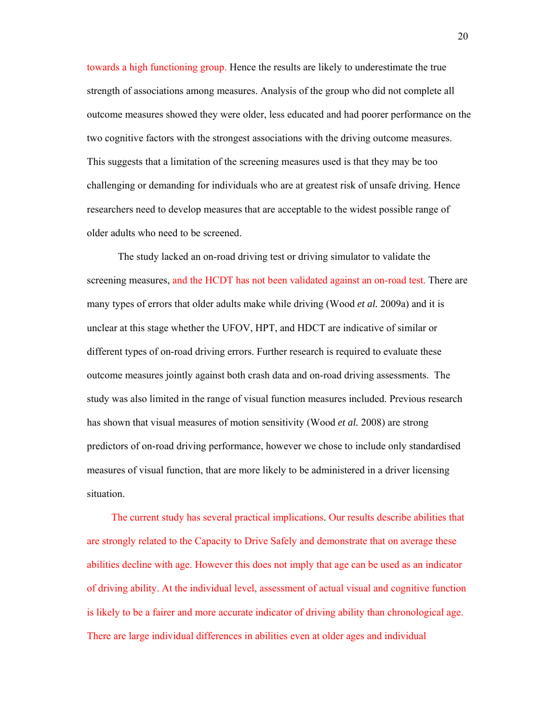towards a high functioning group. Hence the results are likely to underestimate the true strength of associations among measures. Analysis of the group who did not complete all outcome measures showed they were older, less educated and had poorer performance on the two cognitive factors with the strongest associations with the driving outcome measures. This suggests that a limitation of the screening measures used is that they may be too challenging or demanding for individuals who are at greatest risk of unsafe driving. Hence researchers need to develop measures that are acceptable to the widest possible range of older adults who need to be screened.

The study lacked an on-road driving test or driving simulator to validate the screening measures, and the HCDT has not been validated against an on-road test. There are many types of errors that older adults make while driving (Wood *et al.* 2009a) and it is unclear at this stage whether the UFOV, HPT, and HDCT are indicative of similar or different types of on-road driving errors. Further research is required to evaluate these outcome measures jointly against both crash data and on-road driving assessments. The study was also limited in the range of visual function measures included. Previous research has shown that visual measures of motion sensitivity (Wood *et al.* 2008) are strong predictors of on-road driving performance, however we chose to include only standardised measures of visual function, that are more likely to be administered in a driver licensing situation.

The current study has several practical implications. Our results describe abilities that are strongly related to the Capacity to Drive Safely and demonstrate that on average these abilities decline with age. However this does not imply that age can be used as an indicator of driving ability. At the individual level, assessment of actual visual and cognitive function is likely to be a fairer and more accurate indicator of driving ability than chronological age. There are large individual differences in abilities even at older ages and individual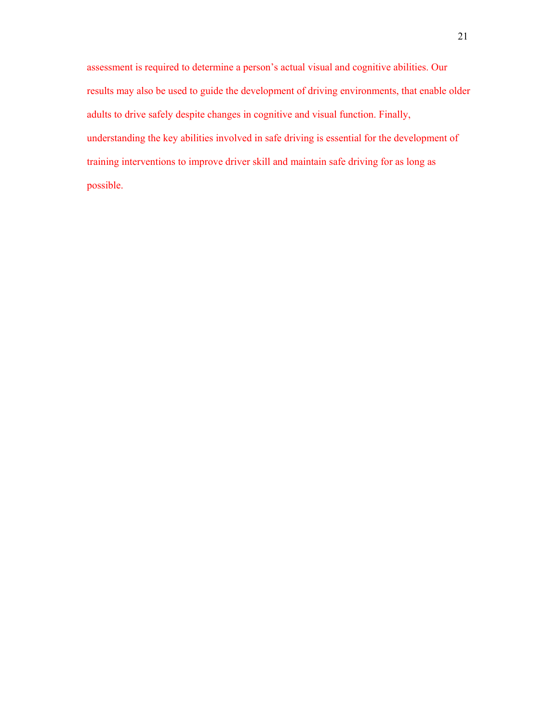assessment is required to determine a person's actual visual and cognitive abilities. Our results may also be used to guide the development of driving environments, that enable older adults to drive safely despite changes in cognitive and visual function. Finally, understanding the key abilities involved in safe driving is essential for the development of training interventions to improve driver skill and maintain safe driving for as long as possible.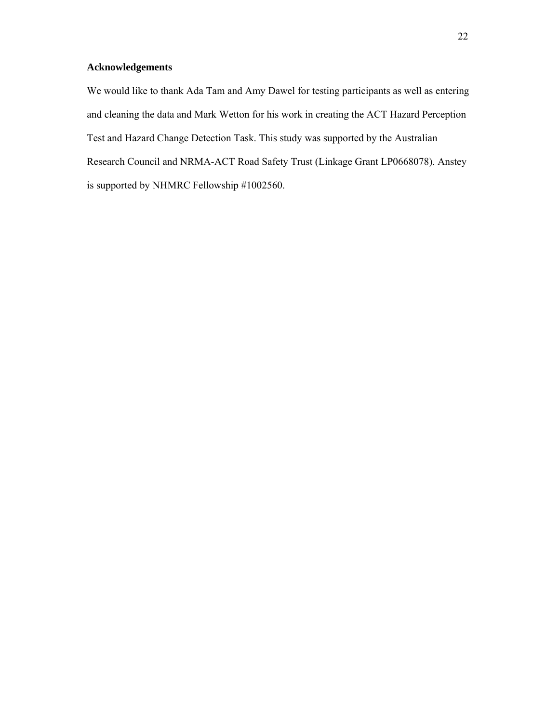## **Acknowledgements**

We would like to thank Ada Tam and Amy Dawel for testing participants as well as entering and cleaning the data and Mark Wetton for his work in creating the ACT Hazard Perception Test and Hazard Change Detection Task. This study was supported by the Australian Research Council and NRMA-ACT Road Safety Trust (Linkage Grant LP0668078). Anstey is supported by NHMRC Fellowship #1002560.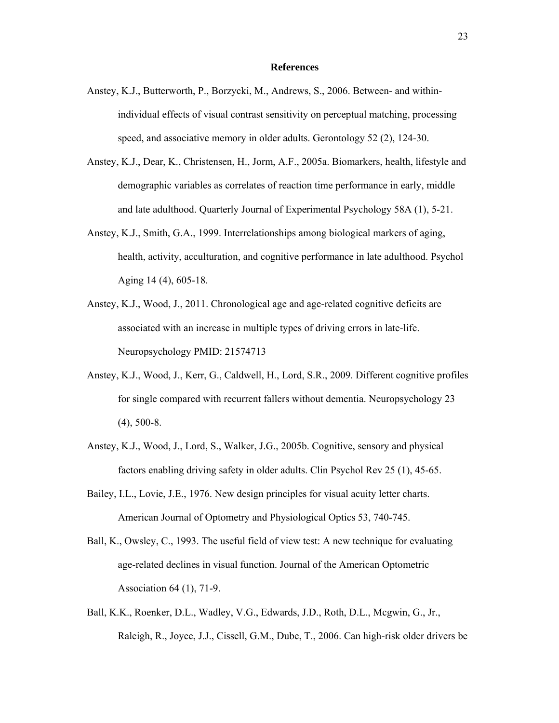#### **References**

- Anstey, K.J., Butterworth, P., Borzycki, M., Andrews, S., 2006. Between- and withinindividual effects of visual contrast sensitivity on perceptual matching, processing speed, and associative memory in older adults. Gerontology 52 (2), 124-30.
- Anstey, K.J., Dear, K., Christensen, H., Jorm, A.F., 2005a. Biomarkers, health, lifestyle and demographic variables as correlates of reaction time performance in early, middle and late adulthood. Quarterly Journal of Experimental Psychology 58A (1), 5-21.
- Anstey, K.J., Smith, G.A., 1999. Interrelationships among biological markers of aging, health, activity, acculturation, and cognitive performance in late adulthood. Psychol Aging 14 (4), 605-18.
- Anstey, K.J., Wood, J., 2011. Chronological age and age-related cognitive deficits are associated with an increase in multiple types of driving errors in late-life. Neuropsychology PMID: 21574713
- Anstey, K.J., Wood, J., Kerr, G., Caldwell, H., Lord, S.R., 2009. Different cognitive profiles for single compared with recurrent fallers without dementia. Neuropsychology 23 (4), 500-8.
- Anstey, K.J., Wood, J., Lord, S., Walker, J.G., 2005b. Cognitive, sensory and physical factors enabling driving safety in older adults. Clin Psychol Rev 25 (1), 45-65.
- Bailey, I.L., Lovie, J.E., 1976. New design principles for visual acuity letter charts. American Journal of Optometry and Physiological Optics 53, 740-745.
- Ball, K., Owsley, C., 1993. The useful field of view test: A new technique for evaluating age-related declines in visual function. Journal of the American Optometric Association 64 (1), 71-9.
- Ball, K.K., Roenker, D.L., Wadley, V.G., Edwards, J.D., Roth, D.L., Mcgwin, G., Jr., Raleigh, R., Joyce, J.J., Cissell, G.M., Dube, T., 2006. Can high-risk older drivers be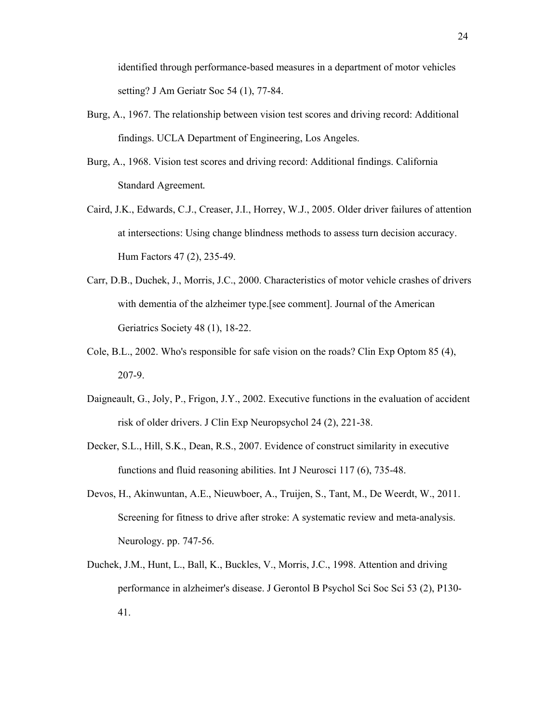identified through performance-based measures in a department of motor vehicles setting? J Am Geriatr Soc 54 (1), 77-84.

- Burg, A., 1967. The relationship between vision test scores and driving record: Additional findings. UCLA Department of Engineering, Los Angeles.
- Burg, A., 1968. Vision test scores and driving record: Additional findings. California Standard Agreement*.*
- Caird, J.K., Edwards, C.J., Creaser, J.I., Horrey, W.J., 2005. Older driver failures of attention at intersections: Using change blindness methods to assess turn decision accuracy. Hum Factors 47 (2), 235-49.
- Carr, D.B., Duchek, J., Morris, J.C., 2000. Characteristics of motor vehicle crashes of drivers with dementia of the alzheimer type.[see comment]. Journal of the American Geriatrics Society 48 (1), 18-22.
- Cole, B.L., 2002. Who's responsible for safe vision on the roads? Clin Exp Optom 85 (4), 207-9.
- Daigneault, G., Joly, P., Frigon, J.Y., 2002. Executive functions in the evaluation of accident risk of older drivers. J Clin Exp Neuropsychol 24 (2), 221-38.
- Decker, S.L., Hill, S.K., Dean, R.S., 2007. Evidence of construct similarity in executive functions and fluid reasoning abilities. Int J Neurosci 117 (6), 735-48.
- Devos, H., Akinwuntan, A.E., Nieuwboer, A., Truijen, S., Tant, M., De Weerdt, W., 2011. Screening for fitness to drive after stroke: A systematic review and meta-analysis. Neurology*.* pp. 747-56.
- Duchek, J.M., Hunt, L., Ball, K., Buckles, V., Morris, J.C., 1998. Attention and driving performance in alzheimer's disease. J Gerontol B Psychol Sci Soc Sci 53 (2), P130- 41.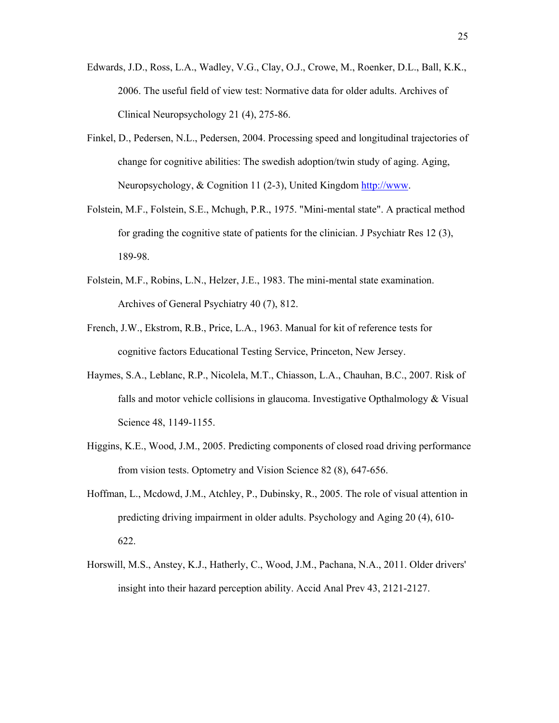- Edwards, J.D., Ross, L.A., Wadley, V.G., Clay, O.J., Crowe, M., Roenker, D.L., Ball, K.K., 2006. The useful field of view test: Normative data for older adults. Archives of Clinical Neuropsychology 21 (4), 275-86.
- Finkel, D., Pedersen, N.L., Pedersen, 2004. Processing speed and longitudinal trajectories of change for cognitive abilities: The swedish adoption/twin study of aging. Aging, Neuropsychology, & Cognition 11 (2-3), United Kingdom http://www.
- Folstein, M.F., Folstein, S.E., Mchugh, P.R., 1975. "Mini-mental state". A practical method for grading the cognitive state of patients for the clinician. J Psychiatr Res 12 (3), 189-98.
- Folstein, M.F., Robins, L.N., Helzer, J.E., 1983. The mini-mental state examination. Archives of General Psychiatry 40 (7), 812.
- French, J.W., Ekstrom, R.B., Price, L.A., 1963. Manual for kit of reference tests for cognitive factors Educational Testing Service, Princeton, New Jersey.
- Haymes, S.A., Leblanc, R.P., Nicolela, M.T., Chiasson, L.A., Chauhan, B.C., 2007. Risk of falls and motor vehicle collisions in glaucoma. Investigative Opthalmology & Visual Science 48, 1149-1155.
- Higgins, K.E., Wood, J.M., 2005. Predicting components of closed road driving performance from vision tests. Optometry and Vision Science 82 (8), 647-656.
- Hoffman, L., Mcdowd, J.M., Atchley, P., Dubinsky, R., 2005. The role of visual attention in predicting driving impairment in older adults. Psychology and Aging 20 (4), 610- 622.
- Horswill, M.S., Anstey, K.J., Hatherly, C., Wood, J.M., Pachana, N.A., 2011. Older drivers' insight into their hazard perception ability. Accid Anal Prev 43, 2121-2127.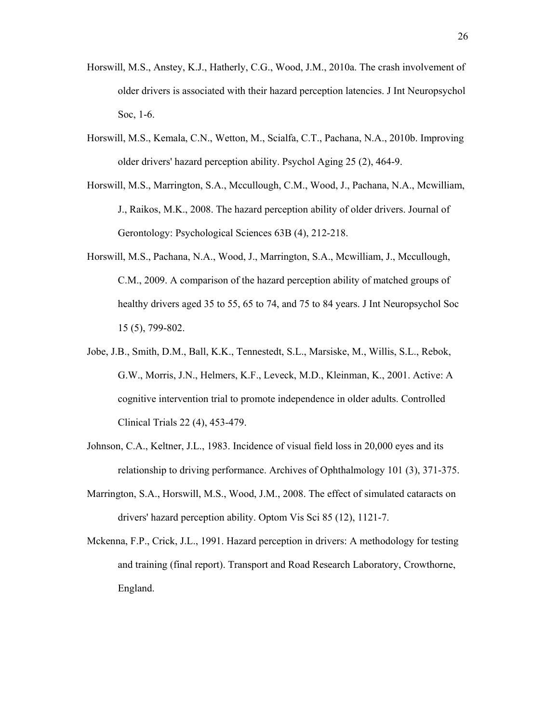- Horswill, M.S., Anstey, K.J., Hatherly, C.G., Wood, J.M., 2010a. The crash involvement of older drivers is associated with their hazard perception latencies. J Int Neuropsychol Soc, 1-6.
- Horswill, M.S., Kemala, C.N., Wetton, M., Scialfa, C.T., Pachana, N.A., 2010b. Improving older drivers' hazard perception ability. Psychol Aging 25 (2), 464-9.
- Horswill, M.S., Marrington, S.A., Mccullough, C.M., Wood, J., Pachana, N.A., Mcwilliam, J., Raikos, M.K., 2008. The hazard perception ability of older drivers. Journal of Gerontology: Psychological Sciences 63B (4), 212-218.
- Horswill, M.S., Pachana, N.A., Wood, J., Marrington, S.A., Mcwilliam, J., Mccullough, C.M., 2009. A comparison of the hazard perception ability of matched groups of healthy drivers aged 35 to 55, 65 to 74, and 75 to 84 years. J Int Neuropsychol Soc 15 (5), 799-802.
- Jobe, J.B., Smith, D.M., Ball, K.K., Tennestedt, S.L., Marsiske, M., Willis, S.L., Rebok, G.W., Morris, J.N., Helmers, K.F., Leveck, M.D., Kleinman, K., 2001. Active: A cognitive intervention trial to promote independence in older adults. Controlled Clinical Trials 22 (4), 453-479.
- Johnson, C.A., Keltner, J.L., 1983. Incidence of visual field loss in 20,000 eyes and its relationship to driving performance. Archives of Ophthalmology 101 (3), 371-375.
- Marrington, S.A., Horswill, M.S., Wood, J.M., 2008. The effect of simulated cataracts on drivers' hazard perception ability. Optom Vis Sci 85 (12), 1121-7.
- Mckenna, F.P., Crick, J.L., 1991. Hazard perception in drivers: A methodology for testing and training (final report). Transport and Road Research Laboratory, Crowthorne, England.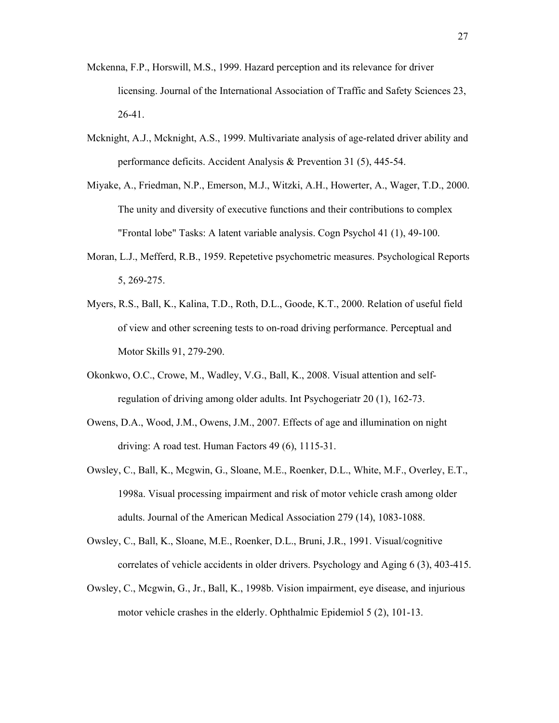- Mckenna, F.P., Horswill, M.S., 1999. Hazard perception and its relevance for driver licensing. Journal of the International Association of Traffic and Safety Sciences 23, 26-41.
- Mcknight, A.J., Mcknight, A.S., 1999. Multivariate analysis of age-related driver ability and performance deficits. Accident Analysis & Prevention 31 (5), 445-54.
- Miyake, A., Friedman, N.P., Emerson, M.J., Witzki, A.H., Howerter, A., Wager, T.D., 2000. The unity and diversity of executive functions and their contributions to complex "Frontal lobe" Tasks: A latent variable analysis. Cogn Psychol 41 (1), 49-100.
- Moran, L.J., Mefferd, R.B., 1959. Repetetive psychometric measures. Psychological Reports 5, 269-275.
- Myers, R.S., Ball, K., Kalina, T.D., Roth, D.L., Goode, K.T., 2000. Relation of useful field of view and other screening tests to on-road driving performance. Perceptual and Motor Skills 91, 279-290.
- Okonkwo, O.C., Crowe, M., Wadley, V.G., Ball, K., 2008. Visual attention and selfregulation of driving among older adults. Int Psychogeriatr 20 (1), 162-73.
- Owens, D.A., Wood, J.M., Owens, J.M., 2007. Effects of age and illumination on night driving: A road test. Human Factors 49 (6), 1115-31.
- Owsley, C., Ball, K., Mcgwin, G., Sloane, M.E., Roenker, D.L., White, M.F., Overley, E.T., 1998a. Visual processing impairment and risk of motor vehicle crash among older adults. Journal of the American Medical Association 279 (14), 1083-1088.
- Owsley, C., Ball, K., Sloane, M.E., Roenker, D.L., Bruni, J.R., 1991. Visual/cognitive correlates of vehicle accidents in older drivers. Psychology and Aging 6 (3), 403-415.
- Owsley, C., Mcgwin, G., Jr., Ball, K., 1998b. Vision impairment, eye disease, and injurious motor vehicle crashes in the elderly. Ophthalmic Epidemiol 5 (2), 101-13.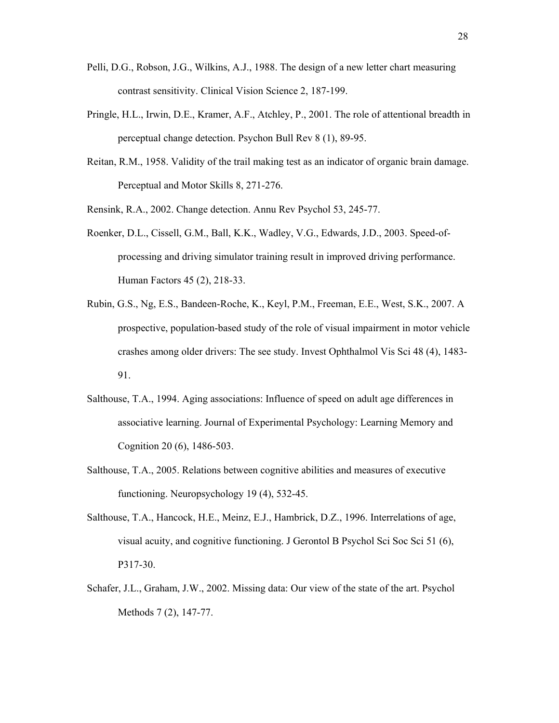- Pelli, D.G., Robson, J.G., Wilkins, A.J., 1988. The design of a new letter chart measuring contrast sensitivity. Clinical Vision Science 2, 187-199.
- Pringle, H.L., Irwin, D.E., Kramer, A.F., Atchley, P., 2001. The role of attentional breadth in perceptual change detection. Psychon Bull Rev 8 (1), 89-95.
- Reitan, R.M., 1958. Validity of the trail making test as an indicator of organic brain damage. Perceptual and Motor Skills 8, 271-276.
- Rensink, R.A., 2002. Change detection. Annu Rev Psychol 53, 245-77.
- Roenker, D.L., Cissell, G.M., Ball, K.K., Wadley, V.G., Edwards, J.D., 2003. Speed-ofprocessing and driving simulator training result in improved driving performance. Human Factors 45 (2), 218-33.
- Rubin, G.S., Ng, E.S., Bandeen-Roche, K., Keyl, P.M., Freeman, E.E., West, S.K., 2007. A prospective, population-based study of the role of visual impairment in motor vehicle crashes among older drivers: The see study. Invest Ophthalmol Vis Sci 48 (4), 1483- 91.
- Salthouse, T.A., 1994. Aging associations: Influence of speed on adult age differences in associative learning. Journal of Experimental Psychology: Learning Memory and Cognition 20 (6), 1486-503.
- Salthouse, T.A., 2005. Relations between cognitive abilities and measures of executive functioning. Neuropsychology 19 (4), 532-45.
- Salthouse, T.A., Hancock, H.E., Meinz, E.J., Hambrick, D.Z., 1996. Interrelations of age, visual acuity, and cognitive functioning. J Gerontol B Psychol Sci Soc Sci 51 (6), P317-30.
- Schafer, J.L., Graham, J.W., 2002. Missing data: Our view of the state of the art. Psychol Methods 7 (2), 147-77.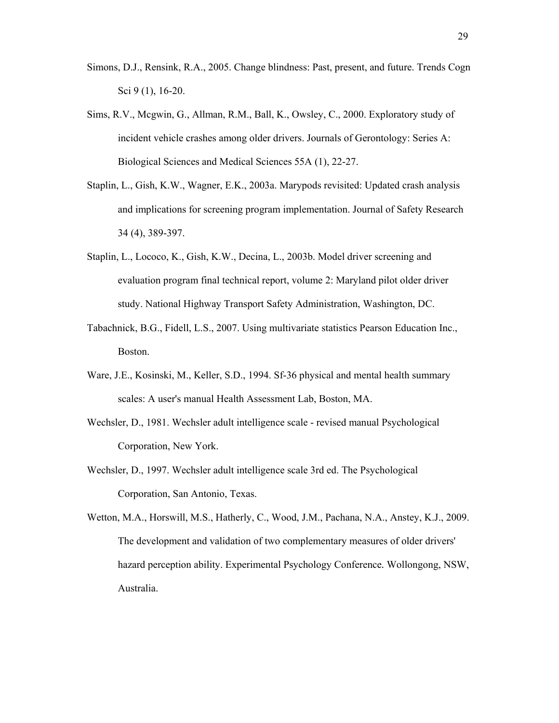- Simons, D.J., Rensink, R.A., 2005. Change blindness: Past, present, and future. Trends Cogn Sci 9 (1), 16-20.
- Sims, R.V., Mcgwin, G., Allman, R.M., Ball, K., Owsley, C., 2000. Exploratory study of incident vehicle crashes among older drivers. Journals of Gerontology: Series A: Biological Sciences and Medical Sciences 55A (1), 22-27.
- Staplin, L., Gish, K.W., Wagner, E.K., 2003a. Marypods revisited: Updated crash analysis and implications for screening program implementation. Journal of Safety Research 34 (4), 389-397.
- Staplin, L., Lococo, K., Gish, K.W., Decina, L., 2003b. Model driver screening and evaluation program final technical report, volume 2: Maryland pilot older driver study. National Highway Transport Safety Administration, Washington, DC.
- Tabachnick, B.G., Fidell, L.S., 2007. Using multivariate statistics Pearson Education Inc., Boston.
- Ware, J.E., Kosinski, M., Keller, S.D., 1994. Sf-36 physical and mental health summary scales: A user's manual Health Assessment Lab, Boston, MA.
- Wechsler, D., 1981. Wechsler adult intelligence scale revised manual Psychological Corporation, New York.
- Wechsler, D., 1997. Wechsler adult intelligence scale 3rd ed. The Psychological Corporation, San Antonio, Texas.
- Wetton, M.A., Horswill, M.S., Hatherly, C., Wood, J.M., Pachana, N.A., Anstey, K.J., 2009. The development and validation of two complementary measures of older drivers' hazard perception ability. Experimental Psychology Conference*.* Wollongong, NSW, Australia.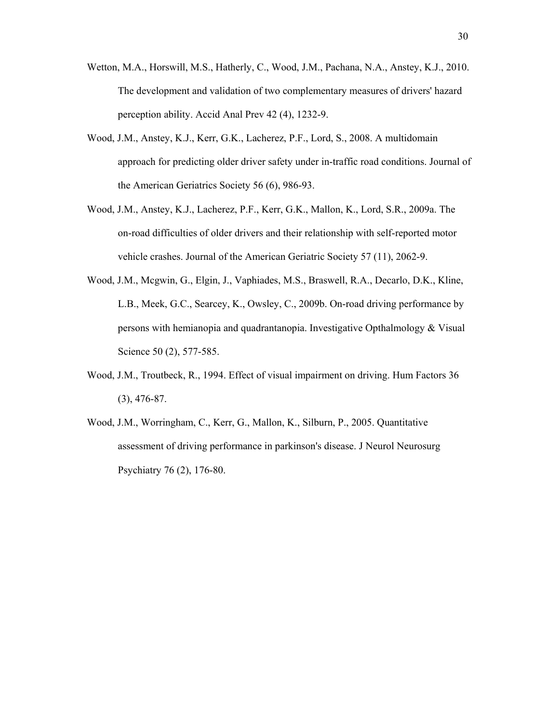- Wetton, M.A., Horswill, M.S., Hatherly, C., Wood, J.M., Pachana, N.A., Anstey, K.J., 2010. The development and validation of two complementary measures of drivers' hazard perception ability. Accid Anal Prev 42 (4), 1232-9.
- Wood, J.M., Anstey, K.J., Kerr, G.K., Lacherez, P.F., Lord, S., 2008. A multidomain approach for predicting older driver safety under in-traffic road conditions. Journal of the American Geriatrics Society 56 (6), 986-93.
- Wood, J.M., Anstey, K.J., Lacherez, P.F., Kerr, G.K., Mallon, K., Lord, S.R., 2009a. The on-road difficulties of older drivers and their relationship with self-reported motor vehicle crashes. Journal of the American Geriatric Society 57 (11), 2062-9.
- Wood, J.M., Mcgwin, G., Elgin, J., Vaphiades, M.S., Braswell, R.A., Decarlo, D.K., Kline, L.B., Meek, G.C., Searcey, K., Owsley, C., 2009b. On-road driving performance by persons with hemianopia and quadrantanopia. Investigative Opthalmology & Visual Science 50 (2), 577-585.
- Wood, J.M., Troutbeck, R., 1994. Effect of visual impairment on driving. Hum Factors 36 (3), 476-87.
- Wood, J.M., Worringham, C., Kerr, G., Mallon, K., Silburn, P., 2005. Quantitative assessment of driving performance in parkinson's disease. J Neurol Neurosurg Psychiatry 76 (2), 176-80.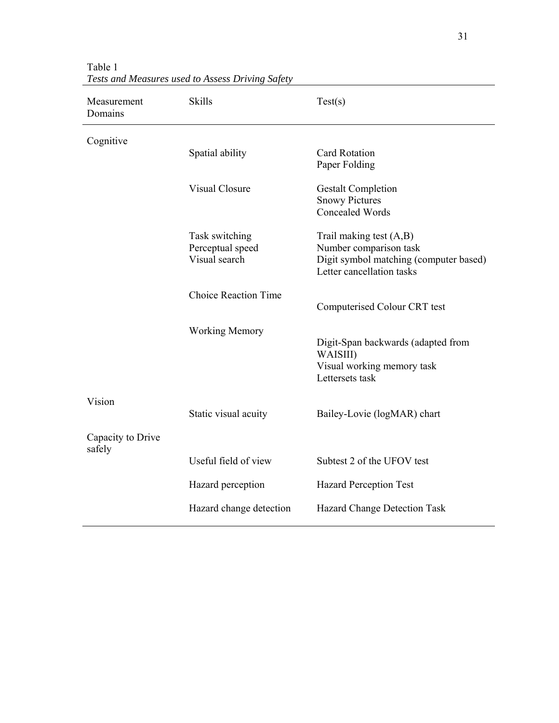| Measurement<br>Domains      | <b>Skills</b>                                       | Test(s)                                                                                                                    |  |  |  |
|-----------------------------|-----------------------------------------------------|----------------------------------------------------------------------------------------------------------------------------|--|--|--|
| Cognitive                   | Spatial ability                                     | <b>Card Rotation</b><br>Paper Folding                                                                                      |  |  |  |
|                             | <b>Visual Closure</b>                               | <b>Gestalt Completion</b><br><b>Snowy Pictures</b><br>Concealed Words                                                      |  |  |  |
|                             | Task switching<br>Perceptual speed<br>Visual search | Trail making test $(A,B)$<br>Number comparison task<br>Digit symbol matching (computer based)<br>Letter cancellation tasks |  |  |  |
|                             | <b>Choice Reaction Time</b>                         | Computerised Colour CRT test                                                                                               |  |  |  |
|                             | <b>Working Memory</b>                               | Digit-Span backwards (adapted from<br>WAISIII)<br>Visual working memory task<br>Lettersets task                            |  |  |  |
| Vision                      | Static visual acuity                                | Bailey-Lovie (logMAR) chart                                                                                                |  |  |  |
| Capacity to Drive<br>safely |                                                     |                                                                                                                            |  |  |  |
|                             | Useful field of view                                | Subtest 2 of the UFOV test                                                                                                 |  |  |  |
|                             | Hazard perception                                   | <b>Hazard Perception Test</b>                                                                                              |  |  |  |
|                             | Hazard change detection                             | Hazard Change Detection Task                                                                                               |  |  |  |

Table 1 *Tests and Measures used to Assess Driving Safety*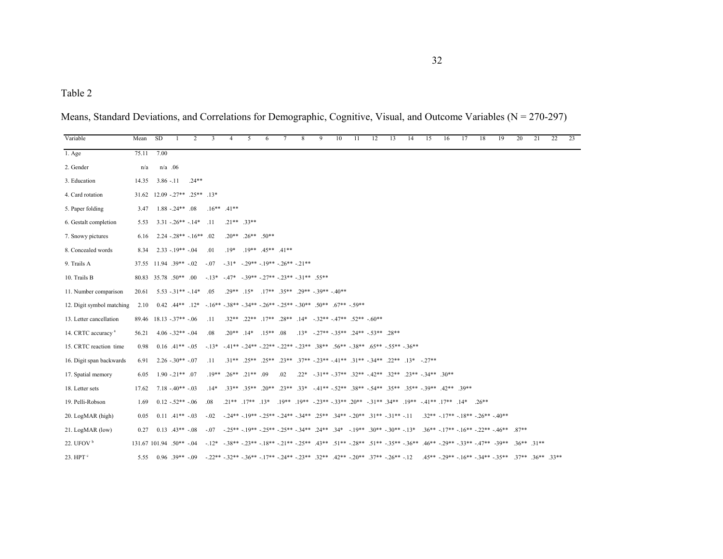| Variable                       | Mean  | SD.  |                                        | $\mathcal{L}$ | 3               | 4                                                                      | 5                             | 6                                                   | 7   | 8 | 9                                                                                                                                                                                                             | 10 | 11 | 12 | 13 | 14 | 15 | 16 | 17 | 18                                  | 19                                                               | 20 | 21 | 22 | 23 |
|--------------------------------|-------|------|----------------------------------------|---------------|-----------------|------------------------------------------------------------------------|-------------------------------|-----------------------------------------------------|-----|---|---------------------------------------------------------------------------------------------------------------------------------------------------------------------------------------------------------------|----|----|----|----|----|----|----|----|-------------------------------------|------------------------------------------------------------------|----|----|----|----|
| 1. Age                         | 75.11 | 7.00 |                                        |               |                 |                                                                        |                               |                                                     |     |   |                                                                                                                                                                                                               |    |    |    |    |    |    |    |    |                                     |                                                                  |    |    |    |    |
| 2. Gender                      | n/a   |      | $n/a$ .06                              |               |                 |                                                                        |                               |                                                     |     |   |                                                                                                                                                                                                               |    |    |    |    |    |    |    |    |                                     |                                                                  |    |    |    |    |
| 3. Education                   | 14.35 |      | $3.86 - 11$                            | $.24**$       |                 |                                                                        |                               |                                                     |     |   |                                                                                                                                                                                                               |    |    |    |    |    |    |    |    |                                     |                                                                  |    |    |    |    |
| 4. Card rotation               |       |      | $31.62$ $12.09$ $-27**$ $.25**$ $.13*$ |               |                 |                                                                        |                               |                                                     |     |   |                                                                                                                                                                                                               |    |    |    |    |    |    |    |    |                                     |                                                                  |    |    |    |    |
| 5. Paper folding               |       |      | $3.47$ 1.88 - 24** .08                 |               |                 | $.16***$ $.41***$                                                      |                               |                                                     |     |   |                                                                                                                                                                                                               |    |    |    |    |    |    |    |    |                                     |                                                                  |    |    |    |    |
| 6. Gestalt completion          | 5.53  |      | $3.31 - 26** - 14*$                    |               | .11             |                                                                        | $.21***$ $.33**$              |                                                     |     |   |                                                                                                                                                                                                               |    |    |    |    |    |    |    |    |                                     |                                                                  |    |    |    |    |
| 7. Snowy pictures              |       |      | $6.16$ $2.24$ $-0.28**$ $-16**$ .02    |               |                 |                                                                        | $20^{**}$ $26^{**}$ $50^{**}$ |                                                     |     |   |                                                                                                                                                                                                               |    |    |    |    |    |    |    |    |                                     |                                                                  |    |    |    |    |
| 8. Concealed words             | 8.34  |      | $2.33 - 19** - 04$                     |               | .01             | $.19*$                                                                 |                               | $19***$ $45**$ $41**$                               |     |   |                                                                                                                                                                                                               |    |    |    |    |    |    |    |    |                                     |                                                                  |    |    |    |    |
| 9. Trails A                    |       |      | $37.55$ 11.94 $.39** - 02$             |               | $-.07$          |                                                                        |                               | $-31^*$ $-29^{**}$ $-19^{**}$ $-26^{**}$ $-21^{**}$ |     |   |                                                                                                                                                                                                               |    |    |    |    |    |    |    |    |                                     |                                                                  |    |    |    |    |
| 10. Trails B                   |       |      | 80.83 35.78 50** 00                    |               |                 | $-13^*$ $-47^*$ $-39^{**}$ $-27^{**}$ $-23^{**}$ $-31^{**}$ $.55^{**}$ |                               |                                                     |     |   |                                                                                                                                                                                                               |    |    |    |    |    |    |    |    |                                     |                                                                  |    |    |    |    |
| 11. Number comparison          | 20.61 |      | $5.53 - 31** - 14*$                    |               | .05             |                                                                        |                               |                                                     |     |   | $.29**$ $.15*$ $.17**$ $.35**$ $.29**$ $.39**$ $.40**$                                                                                                                                                        |    |    |    |    |    |    |    |    |                                     |                                                                  |    |    |    |    |
| 12. Digit symbol matching      | 2.10  |      |                                        |               |                 |                                                                        |                               |                                                     |     |   | $0.42$ $.44***$ $.12*$ $-.16**$ $-.38**$ $-.34**$ $-.26**$ $-.25**$ $-.30**$ $.50**$ $.67**$ $-.59**$                                                                                                         |    |    |    |    |    |    |    |    |                                     |                                                                  |    |    |    |    |
| 13. Letter cancellation        | 89.46 |      | $18.13 - 37** - 06$                    |               | $\overline{11}$ |                                                                        |                               |                                                     |     |   | $.32**$ $.22**$ $.17**$ $.28**$ $.14*$ $-.32**$ $.47**$ $.52**$ $-.60**$                                                                                                                                      |    |    |    |    |    |    |    |    |                                     |                                                                  |    |    |    |    |
| 14. CRTC accuracy <sup>a</sup> | 56.21 |      | $4.06 - 32** - 04$                     |               | .08             |                                                                        |                               | $.20^{***}$ $.14^{*}$ $.15^{**}$ 08                 |     |   | $13^*$ - 27** - 35** 24** - 53** 28**                                                                                                                                                                         |    |    |    |    |    |    |    |    |                                     |                                                                  |    |    |    |    |
| 15. CRTC reaction time         | 0.98  |      | $0.16$ $.41**$ $-05$                   |               |                 |                                                                        |                               |                                                     |     |   | $-13^*$ $-41^{**}$ $-24^{**}$ $-22^{**}$ $-22^{**}$ $-23^{**}$ $-38^{**}$ $-56^{**}$ $-38^{**}$ $-65^{**}$ $-55^{**}$ $-36^{**}$                                                                              |    |    |    |    |    |    |    |    |                                     |                                                                  |    |    |    |    |
| 16. Digit span backwards       | 6.91  |      | $2.26 - 30** - 07$                     |               | $\overline{11}$ |                                                                        |                               |                                                     |     |   | $.31^{**}$ $.25^{**}$ $.25^{**}$ $.23^{**}$ $.37^{**}$ $-.23^{**}$ $-.41^{**}$ $.31^{**}$ $-.24^{**}$ $.22^{**}$ $.13^{*}$ $-.27^{**}$                                                                        |    |    |    |    |    |    |    |    |                                     |                                                                  |    |    |    |    |
| 17. Spatial memory             | 6.05  |      | $1.90 - 21**$ 07                       |               | $.19**$         |                                                                        | $.26***$ $.21***$ 09          |                                                     | .02 |   | $.22^*$ $-.31^{**}$ $-.37^{**}$ $.32^{**}$ $-.42^{**}$ $.32^{**}$ $.23^{**}$ $-.34^{**}$ $.30^{**}$                                                                                                           |    |    |    |    |    |    |    |    |                                     |                                                                  |    |    |    |    |
| 18. Letter sets                | 17.62 |      | $7.18 - 40** - 03$                     |               | $.14*$          |                                                                        |                               |                                                     |     |   | $.33^{**}$ $.35^{**}$ $.20^{**}$ $.23^{**}$ $.33^{*}$ $-41^{**}$ $-52^{**}$ $.38^{**}$ $-54^{**}$ $.35^{**}$ $.35^{**}$ $-39^{**}$ $.42^{**}$ $.39^{**}$                                                      |    |    |    |    |    |    |    |    |                                     |                                                                  |    |    |    |    |
| 19. Pelli-Robson               | 1.69  |      | $0.12 - 52** - 06$                     |               | .08             |                                                                        |                               |                                                     |     |   | $.21^{**}$ $.17^{**}$ $.13^{*}$ $.19^{**}$ $.19^{**}$ $.23^{**}$ $.33^{**}$ $.20^{**}$ $.34^{**}$ $.19^{**}$ $.41^{**}$ $.17^{**}$ $.14^{*}$ $.26^{**}$                                                       |    |    |    |    |    |    |    |    |                                     |                                                                  |    |    |    |    |
| 20. LogMAR (high)              | 0.05  |      | $0.11$ $.41**$ $-.03$                  |               | $-.02$          |                                                                        |                               |                                                     |     |   | $-24** - 19** - 25** - 24** - 34** - 25** - 34** - 20** - 31** - 31** - 11$                                                                                                                                   |    |    |    |    |    |    |    |    | $.32** - 17** - 18** - 26** - 40**$ |                                                                  |    |    |    |    |
| 21. LogMAR (low)               | 0.27  |      | $0.13$ $.43**$ $-08$                   |               | $-07$           |                                                                        |                               |                                                     |     |   | $-25^{**}$ $-19^{**}$ $-25^{**}$ $-25^{**}$ $-34^{**}$ $-24^{**}$ $-34^{**}$ $-19^{**}$ $-30^{**}$ $-30^{**}$ $-13^{**}$ $-36^{**}$ $-17^{**}$ $-16^{**}$ $-22^{**}$ $-46^{**}$ $-87^{**}$                    |    |    |    |    |    |    |    |    |                                     |                                                                  |    |    |    |    |
| 22. UFOV $b$                   |       |      | $131.67$ 101.94 .50** -.04             |               |                 |                                                                        |                               |                                                     |     |   | $-12^*$ $-38^{**}$ $-23^{**}$ $-18^{**}$ $-21^{**}$ $-25^{**}$ $-43^{**}$ $-51^{**}$ $-28^{**}$ $-51^{**}$ $-35^{**}$ $-36^{**}$ $-46^{**}$ $-29^{**}$ $-33^{**}$ $-47^{**}$ $-39^{**}$ $-36^{**}$ $-31^{**}$ |    |    |    |    |    |    |    |    |                                     |                                                                  |    |    |    |    |
| 23. $HPTc$                     | 5.55  |      | $0.96$ 39** - 09                       |               |                 |                                                                        |                               |                                                     |     |   | $-22^{**}$ $-32^{**}$ $-36^{**}$ $-17^{**}$ $-24^{**}$ $-23^{**}$ $-32^{**}$ $-42^{**}$ $-20^{**}$ $-37^{**}$ $-26^{**}$ $-12$                                                                                |    |    |    |    |    |    |    |    |                                     | $.45***$ $-29**$ $-16**$ $-34**$ $-35**$ $.37**$ $.36**$ $.33**$ |    |    |    |    |

Means, Standard Deviations, and Correlations for Demographic, Cognitive, Visual, and Outcome Variables (N = 270-297)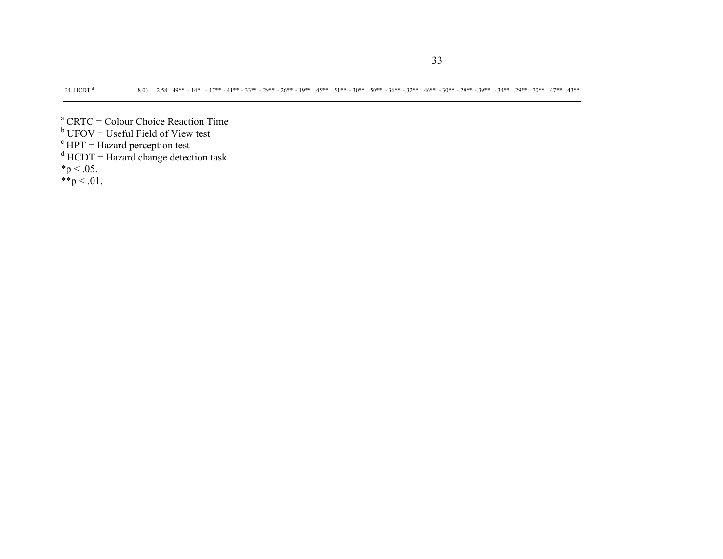- <sup>a</sup> CRTC = Colour Choice Reaction Time<br><sup>b</sup> UFOV = Useful Field of View test
- 
- $c$  HPT = Hazard perception test
- $d$  HCDT = Hazard change detection task
- $*{\rm p}$  < .05.
- \*\*p  $< 01$ .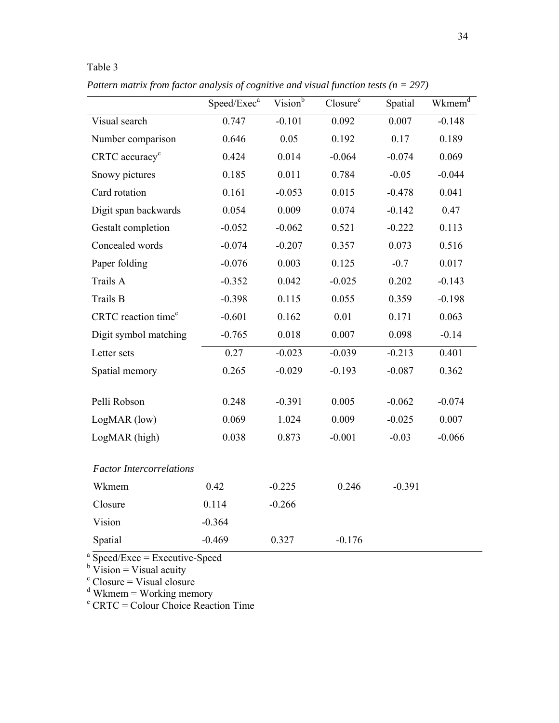| Table 3                                                                                  |                |                     |                      |          |                    |  |  |
|------------------------------------------------------------------------------------------|----------------|---------------------|----------------------|----------|--------------------|--|--|
| Pattern matrix from factor analysis of cognitive and visual function tests ( $n = 297$ ) |                |                     |                      |          |                    |  |  |
|                                                                                          | $Speed/Exec^a$ | Vision <sup>b</sup> | Closure <sup>c</sup> | Spatial  | Wkmem <sup>a</sup> |  |  |
| Visual search                                                                            | 0.747          | $-0.101$            | 0.092                | 0.007    | $-0.148$           |  |  |
| Number comparison                                                                        | 0.646          | 0.05                | 0.192                | 0.17     | 0.189              |  |  |
| $CRTC$ accuracy <sup>e</sup>                                                             | 0.424          | 0.014               | $-0.064$             | $-0.074$ | 0.069              |  |  |
|                                                                                          |                |                     |                      |          |                    |  |  |

| Number comparison               | 0.646    | 0.05     | 0.192    | 0.17     | 0.189    |
|---------------------------------|----------|----------|----------|----------|----------|
| CRTC accuracy <sup>e</sup>      | 0.424    | 0.014    | $-0.064$ | $-0.074$ | 0.069    |
| Snowy pictures                  | 0.185    | 0.011    | 0.784    | $-0.05$  | $-0.044$ |
| Card rotation                   | 0.161    | $-0.053$ | 0.015    | $-0.478$ | 0.041    |
| Digit span backwards            | 0.054    | 0.009    | 0.074    | $-0.142$ | 0.47     |
| Gestalt completion              | $-0.052$ | $-0.062$ | 0.521    | $-0.222$ | 0.113    |
| Concealed words                 | $-0.074$ | $-0.207$ | 0.357    | 0.073    | 0.516    |
| Paper folding                   | $-0.076$ | 0.003    | 0.125    | $-0.7$   | 0.017    |
| Trails A                        | $-0.352$ | 0.042    | $-0.025$ | 0.202    | $-0.143$ |
| Trails B                        | $-0.398$ | 0.115    | 0.055    | 0.359    | $-0.198$ |
| CRTC reaction time <sup>e</sup> | $-0.601$ | 0.162    | 0.01     | 0.171    | 0.063    |
| Digit symbol matching           | $-0.765$ | 0.018    | 0.007    | 0.098    | $-0.14$  |
| Letter sets                     | 0.27     | $-0.023$ | $-0.039$ | $-0.213$ | 0.401    |
| Spatial memory                  | 0.265    | $-0.029$ | $-0.193$ | $-0.087$ | 0.362    |
|                                 |          |          |          |          |          |
| Pelli Robson                    | 0.248    | $-0.391$ | 0.005    | $-0.062$ | $-0.074$ |
| LogMAR (low)                    | 0.069    | 1.024    | 0.009    | $-0.025$ | 0.007    |
| LogMAR (high)                   | 0.038    | 0.873    | $-0.001$ | $-0.03$  | $-0.066$ |
| <b>Factor Intercorrelations</b> |          |          |          |          |          |
| Wkmem                           | 0.42     | $-0.225$ | 0.246    | $-0.391$ |          |
| Closure                         | 0.114    | $-0.266$ |          |          |          |
| Vision                          | $-0.364$ |          |          |          |          |
| Spatial                         | $-0.469$ | 0.327    | $-0.176$ |          |          |

<sup>a</sup> Speed/Exec = Executive-Speed<br>
<sup>b</sup> Vision = Visual acuity<br>
<sup>c</sup> Closure = Visual closure<br>
<sup>d</sup> Wkmem = Working memory<br>
<sup>e</sup> CRTC = Colour Choice Reaction Time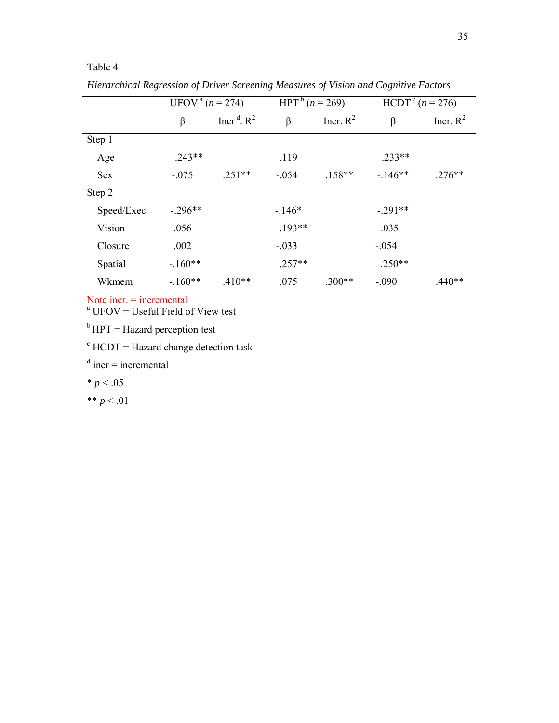|            | UFOV <sup>a</sup> ( $n = 274$ ) |                           | HPT <sup>b</sup> $(n = 269)$ |             | $HCDT^{c} (n = 276)$ |             |  |  |
|------------|---------------------------------|---------------------------|------------------------------|-------------|----------------------|-------------|--|--|
|            | β                               | Incr <sup>d</sup> . $R^2$ | β                            | Incr. $R^2$ | $\beta$              | Incr. $R^2$ |  |  |
| Step 1     |                                 |                           |                              |             |                      |             |  |  |
| Age        | $.243**$                        |                           | .119                         |             | $.233**$             |             |  |  |
| <b>Sex</b> | $-.075$                         | $.251**$                  | $-.054$                      | $.158**$    | $-146**$             | $.276**$    |  |  |
| Step 2     |                                 |                           |                              |             |                      |             |  |  |
| Speed/Exec | $-.296**$                       |                           | $-146*$                      |             | $-.291**$            |             |  |  |
| Vision     | .056                            |                           | $.193**$                     |             | .035                 |             |  |  |
| Closure    | .002                            |                           | $-.033$                      |             | $-.054$              |             |  |  |
| Spatial    | $-.160**$                       |                           | $.257**$                     |             | $.250**$             |             |  |  |
| Wkmem      | $-.160**$                       | $.410**$                  | .075                         | $.300**$    | $-.090$              | $.440**$    |  |  |

*Hierarchical Regression of Driver Screening Measures of Vision and Cognitive Factors* 

Note incr. = incremental

 $a$  UFOV = Useful Field of View test

 $<sup>b</sup> HPT =$  Hazard perception test</sup>

 $c$  HCDT = Hazard change detection task

 $d$  incr = incremental

 $* p < .05$ 

Table 4

\*\*  $p < 01$